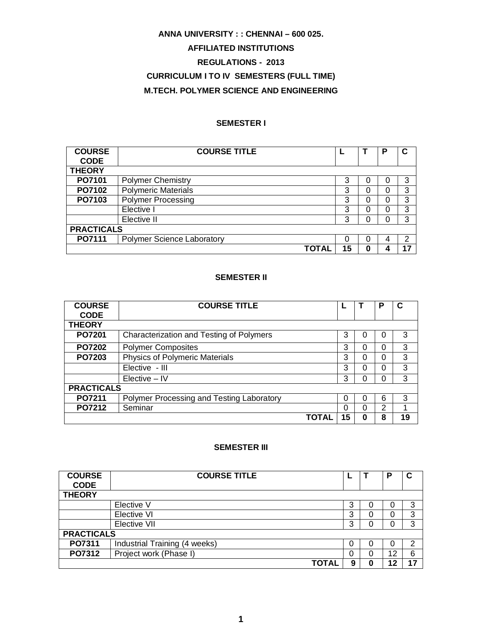#### **ANNA UNIVERSITY : : CHENNAI – 600 025.**

### **AFFILIATED INSTITUTIONS**

#### **REGULATIONS - 2013**

## **CURRICULUM I TO IV SEMESTERS (FULL TIME)**

### **M.TECH. POLYMER SCIENCE AND ENGINEERING**

#### **SEMESTER I**

| <b>COURSE</b>     | <b>COURSE TITLE</b>               |    |   | Р | С |
|-------------------|-----------------------------------|----|---|---|---|
| <b>CODE</b>       |                                   |    |   |   |   |
| <b>THEORY</b>     |                                   |    |   |   |   |
| PO7101            | <b>Polymer Chemistry</b>          | 3  | 0 | C | 3 |
| PO7102            | <b>Polymeric Materials</b>        | 3  | 0 | 0 | 3 |
| PO7103            | <b>Polymer Processing</b>         | 3  | 0 | 0 | 3 |
|                   | Elective I                        | 3  | 0 | 0 | 3 |
|                   | Elective II                       | 3  | 0 | 0 | 3 |
| <b>PRACTICALS</b> |                                   |    |   |   |   |
| PO7111            | <b>Polymer Science Laboratory</b> | 0  | 0 | 4 | っ |
|                   | <b>TOTAI</b>                      | 15 | 0 |   |   |

#### **SEMESTER II**

| <b>COURSE</b><br><b>CODE</b> | <b>COURSE TITLE</b>                       |       |    |   | Р             |    |
|------------------------------|-------------------------------------------|-------|----|---|---------------|----|
| <b>THEORY</b>                |                                           |       |    |   |               |    |
| PO7201                       | Characterization and Testing of Polymers  |       | 3  | 0 | 0             | 3  |
| <b>PO7202</b>                | <b>Polymer Composites</b>                 |       | 3  | 0 | 0             | 3  |
| PO7203                       | <b>Physics of Polymeric Materials</b>     |       | 3  | 0 | 0             | 3  |
|                              | Elective - III                            |       | 3  | 0 | 0             | 3  |
|                              | $Electric - IV$                           |       | 3  | 0 | 0             | 3  |
| <b>PRACTICALS</b>            |                                           |       |    |   |               |    |
| PO7211                       | Polymer Processing and Testing Laboratory |       | ი  | 0 | 6             | 3  |
| PO7212                       | Seminar                                   |       | ი  | 0 | $\mathcal{P}$ |    |
|                              |                                           | TOTAL | 15 | 0 | 8             | 19 |

#### **SEMESTER III**

| <b>COURSE</b>     | <b>COURSE TITLE</b>           |   |   | D  | C              |
|-------------------|-------------------------------|---|---|----|----------------|
| <b>CODE</b>       |                               |   |   |    |                |
| <b>THEORY</b>     |                               |   |   |    |                |
|                   | Elective V                    | 3 | 0 | O  | 3              |
|                   | Elective VI                   | 3 | 0 | 0  | 3              |
|                   | <b>Elective VII</b>           | 3 | O | O  | 3              |
| <b>PRACTICALS</b> |                               |   |   |    |                |
| PO7311            | Industrial Training (4 weeks) | 0 | 0 | O  | $\overline{2}$ |
| PO7312            | Project work (Phase I)        | 0 | 0 | 12 | 6              |
|                   | <b>TOTAL</b>                  | 9 | 0 | 12 | 17             |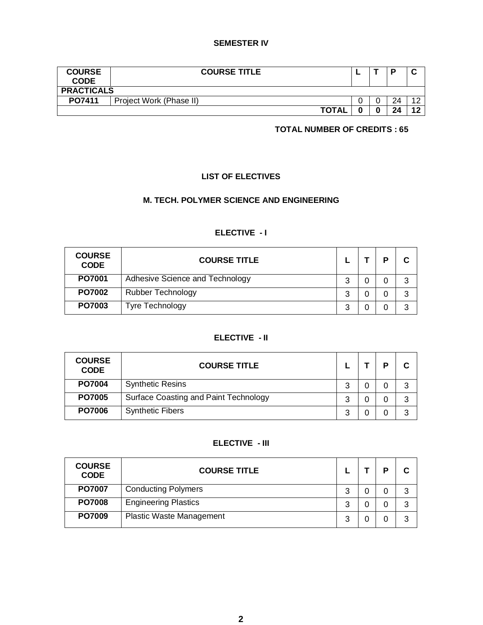#### **SEMESTER IV**

| <b>COURSE</b><br><b>CODE</b> | <b>COURSE TITLE</b>     | - |    | r<br>ີ |
|------------------------------|-------------------------|---|----|--------|
| <b>PRACTICALS</b>            |                         |   |    |        |
| PO7411                       | Project Work (Phase II) |   | 24 | 10     |
|                              | <b>TOTAL</b>            |   | 24 | 12     |

#### **TOTAL NUMBER OF CREDITS : 65**

#### **LIST OF ELECTIVES**

#### **M. TECH. POLYMER SCIENCE AND ENGINEERING**

| <b>COURSE</b><br><b>CODE</b> | <b>COURSE TITLE</b>             |   | D |   |
|------------------------------|---------------------------------|---|---|---|
| <b>PO7001</b>                | Adhesive Science and Technology | 2 |   | ⌒ |
| <b>PO7002</b>                | <b>Rubber Technology</b>        | 3 |   | 3 |
| PO7003                       | <b>Tyre Technology</b>          | າ |   | ົ |

### **ELECTIVE - I**

#### **ELECTIVE - II**

| <b>COURSE</b><br><b>CODE</b> | <b>COURSE TITLE</b>                   |   | D | C |
|------------------------------|---------------------------------------|---|---|---|
| <b>PO7004</b>                | <b>Synthetic Resins</b>               | 3 |   | 3 |
| <b>PO7005</b>                | Surface Coasting and Paint Technology | 3 |   | 3 |
| <b>PO7006</b>                | <b>Synthetic Fibers</b>               | 3 |   | 3 |

#### **ELECTIVE - III**

| <b>COURSE</b><br><b>CODE</b> | <b>COURSE TITLE</b>             |   | D | C |
|------------------------------|---------------------------------|---|---|---|
| <b>PO7007</b>                | <b>Conducting Polymers</b>      | 3 |   | 3 |
| <b>PO7008</b>                | <b>Engineering Plastics</b>     | 3 |   | 3 |
| PO7009                       | <b>Plastic Waste Management</b> | 3 |   | 3 |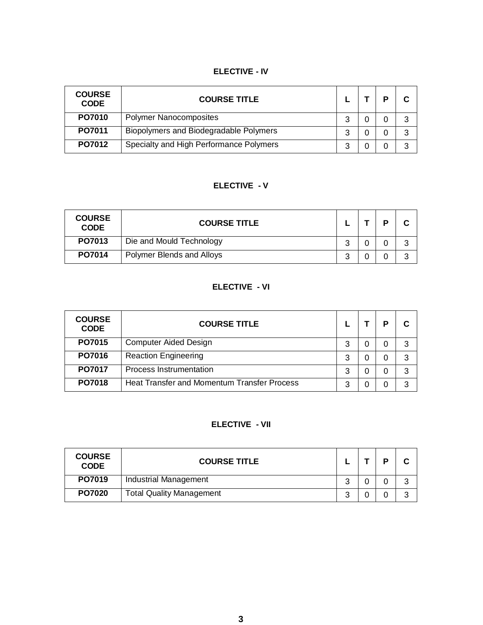### **ELECTIVE - IV**

| <b>COURSE</b><br><b>CODE</b> | <b>COURSE TITLE</b>                     |   | D |   |
|------------------------------|-----------------------------------------|---|---|---|
| <b>PO7010</b>                | <b>Polymer Nanocomposites</b>           | 2 |   | ? |
| PO7011                       | Biopolymers and Biodegradable Polymers  | 2 |   | ? |
| PO7012                       | Specialty and High Performance Polymers | າ |   |   |

## **ELECTIVE - V**

| <b>COURSE</b><br><b>CODE</b> | <b>COURSE TITLE</b>       |        |  |   |
|------------------------------|---------------------------|--------|--|---|
| PO7013                       | Die and Mould Technology  | ◠<br>J |  | າ |
| PO7014                       | Polymer Blends and Alloys | ◠<br>J |  | ⌒ |

### **ELECTIVE - VI**

| <b>COURSE</b><br><b>CODE</b> | <b>COURSE TITLE</b>                                |   |   | D |   |
|------------------------------|----------------------------------------------------|---|---|---|---|
| PO7015                       | <b>Computer Aided Design</b>                       | 3 | 0 | 0 | 3 |
| PO7016                       | <b>Reaction Engineering</b>                        | 3 | ი | 0 | 3 |
| PO7017                       | Process Instrumentation                            | 3 | 0 | 0 | 3 |
| PO7018                       | <b>Heat Transfer and Momentum Transfer Process</b> | 3 |   |   | 3 |

#### **ELECTIVE - VII**

| <b>COURSE</b><br><b>CODE</b> | <b>COURSE TITLE</b>             |   | D | ◠ |
|------------------------------|---------------------------------|---|---|---|
| PO7019                       | Industrial Management           | ◠ |   | c |
| <b>PO7020</b>                | <b>Total Quality Management</b> | ⌒ |   | ⌒ |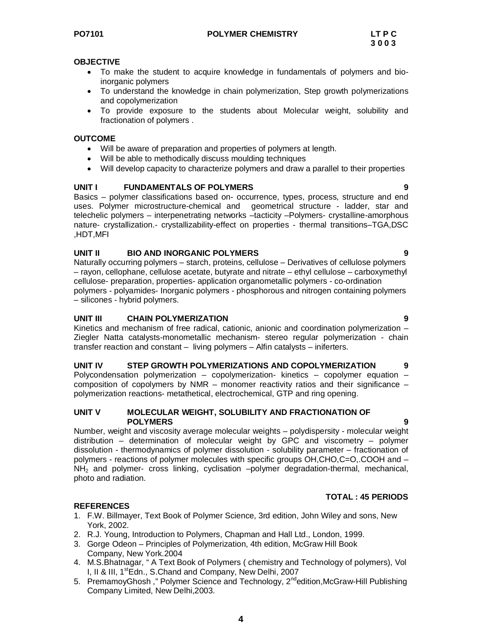- To make the student to acquire knowledge in fundamentals of polymers and bioinorganic polymers
- To understand the knowledge in chain polymerization, Step growth polymerizations and copolymerization
- To provide exposure to the students about Molecular weight, solubility and fractionation of polymers .

#### **OUTCOME**

- Will be aware of preparation and properties of polymers at length.
- Will be able to methodically discuss moulding techniques
- Will develop capacity to characterize polymers and draw a parallel to their properties

### **UNIT I FUNDAMENTALS OF POLYMERS 9**

Basics – polymer classifications based on- occurrence, types, process, structure and end uses. Polymer microstructure-chemical and geometrical structure - ladder, star and telechelic polymers – interpenetrating networks –tacticity –Polymers- crystalline-amorphous nature- crystallization.- crystallizability-effect on properties - thermal transitions–TGA,DSC ,HDT,MFI

#### **UNIT II BIO AND INORGANIC POLYMERS 9**

Naturally occurring polymers – starch, proteins, cellulose – Derivatives of cellulose polymers – rayon, cellophane, cellulose acetate, butyrate and nitrate – ethyl cellulose – carboxymethyl cellulose- preparation, properties- application organometallic polymers - co-ordination polymers - polyamides- Inorganic polymers - phosphorous and nitrogen containing polymers – silicones - hybrid polymers.

#### **UNIT III CHAIN POLYMERIZATION 9**

Kinetics and mechanism of free radical, cationic, anionic and coordination polymerization – Ziegler Natta catalysts-monometallic mechanism- stereo regular polymerization - chain transfer reaction and constant – living polymers – Alfin catalysts – iniferters.

### **UNIT IV STEP GROWTH POLYMERIZATIONS AND COPOLYMERIZATION 9**

Polycondensation polymerization – copolymerization- kinetics – copolymer equation – composition of copolymers by NMR – monomer reactivity ratios and their significance – polymerization reactions- metathetical, electrochemical, GTP and ring opening.

#### **UNIT V MOLECULAR WEIGHT, SOLUBILITY AND FRACTIONATION OF POLYMERS 9**

Number, weight and viscosity average molecular weights – polydispersity - molecular weight distribution – determination of molecular weight by GPC and viscometry – polymer dissolution - thermodynamics of polymer dissolution - solubility parameter – fractionation of polymers - reactions of polymer molecules with specific groups OH,CHO,C=O,.COOH and – NH<sub>2</sub> and polymer- cross linking, cyclisation –polymer degradation-thermal, mechanical, photo and radiation.

#### **TOTAL : 45 PERIODS**

- 1. F.W. Billmayer, Text Book of Polymer Science, 3rd edition, John Wiley and sons, New York, 2002.
- 2. R.J. Young, Introduction to Polymers, Chapman and Hall Ltd., London, 1999.
- 3. Gorge Odeon Principles of Polymerization, 4th edition, McGraw Hill Book Company, New York.2004
- 4. M.S.Bhatnagar, " A Text Book of Polymers ( chemistry and Technology of polymers), Vol I, II & III, 1<sup>st</sup>Edn., S.Chand and Company, New Delhi, 2007
- 5. PremamoyGhosh," Polymer Science and Technology,  $2^{nd}$ edition, McGraw-Hill Publishing Company Limited, New Delhi,2003.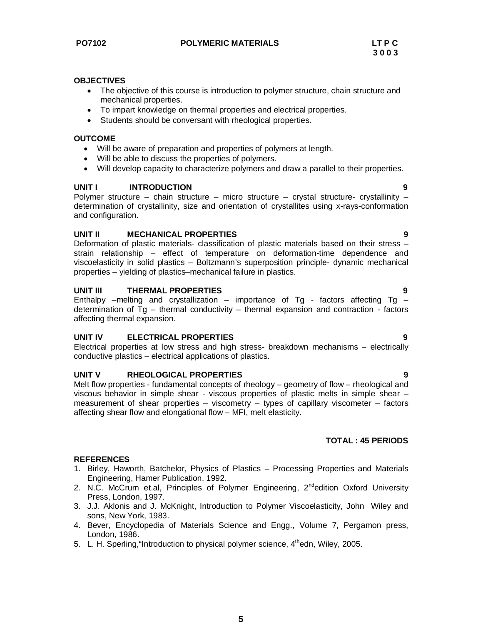

- The objective of this course is introduction to polymer structure, chain structure and mechanical properties.
- To impart knowledge on thermal properties and electrical properties.
- Students should be conversant with rheological properties.

#### **OUTCOME**

- Will be aware of preparation and properties of polymers at length.
- Will be able to discuss the properties of polymers.
- Will develop capacity to characterize polymers and draw a parallel to their properties.

#### **UNIT I INTRODUCTION 9**

Polymer structure – chain structure – micro structure – crystal structure- crystallinity – determination of crystallinity, size and orientation of crystallites using x-rays-conformation and configuration.

#### **UNIT II MECHANICAL PROPERTIES 9**

Deformation of plastic materials- classification of plastic materials based on their stress – strain relationship – effect of temperature on deformation-time dependence and viscoelasticity in solid plastics – Boltzmann's superposition principle- dynamic mechanical properties – yielding of plastics–mechanical failure in plastics.

#### **UNIT III THERMAL PROPERTIES 9**

Enthalpy –melting and crystallization – importance of Tg - factors affecting Tg – determination of Tg – thermal conductivity – thermal expansion and contraction - factors affecting thermal expansion.

#### **UNIT IV ELECTRICAL PROPERTIES 9**

Electrical properties at low stress and high stress- breakdown mechanisms – electrically conductive plastics – electrical applications of plastics.

#### **UNIT V RHEOLOGICAL PROPERTIES 9**

Melt flow properties - fundamental concepts of rheology – geometry of flow – rheological and viscous behavior in simple shear - viscous properties of plastic melts in simple shear – measurement of shear properties – viscometry – types of capillary viscometer – factors affecting shear flow and elongational flow – MFI, melt elasticity.

#### **TOTAL : 45 PERIODS**

- 1. Birley, Haworth, Batchelor, Physics of Plastics Processing Properties and Materials Engineering, Hamer Publication, 1992.
- 2. N.C. McCrum et.al, Principles of Polymer Engineering, 2<sup>nd</sup>edition Oxford University Press, London, 1997.
- 3. J.J. Aklonis and J. McKnight, Introduction to Polymer Viscoelasticity, John Wiley and sons, New York, 1983.
- 4. Bever, Encyclopedia of Materials Science and Engg., Volume 7, Pergamon press, London, 1986.
- 5. L. H. Sperling, "Introduction to physical polymer science,  $4<sup>th</sup>$ edn, Wiley, 2005.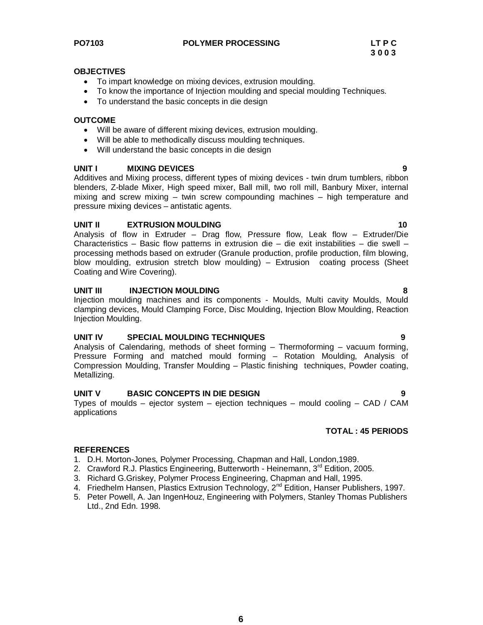#### **PO7103 POLYMER PROCESSING LT P C**

#### **OBJECTIVES**

- To impart knowledge on mixing devices, extrusion moulding.
- To know the importance of Injection moulding and special moulding Techniques.
- To understand the basic concepts in die design

#### **OUTCOME**

- Will be aware of different mixing devices, extrusion moulding.
- Will be able to methodically discuss moulding techniques.
- Will understand the basic concepts in die design

#### **UNIT I MIXING DEVICES 9**

Additives and Mixing process, different types of mixing devices - twin drum tumblers, ribbon blenders, Z-blade Mixer, High speed mixer, Ball mill, two roll mill, Banbury Mixer, internal mixing and screw mixing – twin screw compounding machines – high temperature and pressure mixing devices – antistatic agents.

#### **UNIT II EXTRUSION MOULDING 10**

Analysis of flow in Extruder – Drag flow, Pressure flow, Leak flow – Extruder/Die Characteristics – Basic flow patterns in extrusion die – die exit instabilities – die swell – processing methods based on extruder (Granule production, profile production, film blowing, blow moulding, extrusion stretch blow moulding) – Extrusion coating process (Sheet Coating and Wire Covering).

#### **UNIT III INJECTION MOULDING 8**

Injection moulding machines and its components - Moulds, Multi cavity Moulds, Mould clamping devices, Mould Clamping Force, Disc Moulding, Injection Blow Moulding, Reaction Injection Moulding.

#### **UNIT IV SPECIAL MOULDING TECHNIQUES 9**

Analysis of Calendaring, methods of sheet forming – Thermoforming – vacuum forming, Pressure Forming and matched mould forming – Rotation Moulding, Analysis of Compression Moulding, Transfer Moulding – Plastic finishing techniques, Powder coating, Metallizing.

#### **UNIT V BASIC CONCEPTS IN DIE DESIGN 9**

Types of moulds – ejector system – ejection techniques – mould cooling – CAD / CAM applications

#### **TOTAL : 45 PERIODS**

- 1. D.H. Morton-Jones, Polymer Processing, Chapman and Hall, London,1989.
- 2. Crawford R.J. Plastics Engineering, Butterworth Heinemann, 3<sup>rd</sup> Edition, 2005.
- 3. Richard G.Griskey, Polymer Process Engineering, Chapman and Hall, 1995.
- 4. Friedhelm Hansen, Plastics Extrusion Technology, 2<sup>nd</sup> Edition, Hanser Publishers, 1997.
- 5. Peter Powell, A. Jan IngenHouz, Engineering with Polymers, Stanley Thomas Publishers Ltd., 2nd Edn. 1998.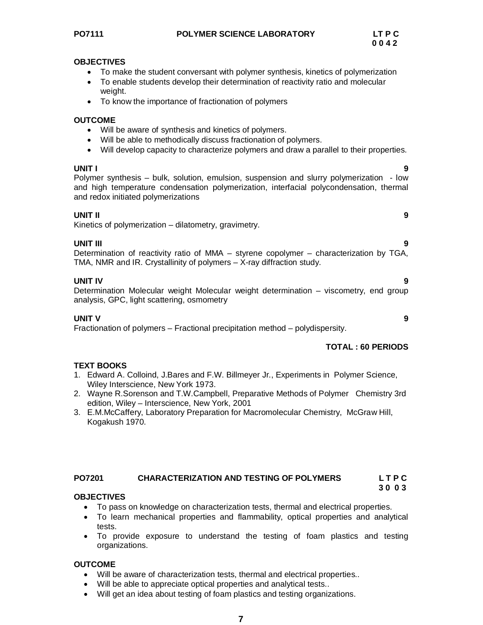- To make the student conversant with polymer synthesis, kinetics of polymerization
- To enable students develop their determination of reactivity ratio and molecular weight.
- To know the importance of fractionation of polymers

#### **OUTCOME**

- Will be aware of synthesis and kinetics of polymers.
- Will be able to methodically discuss fractionation of polymers.
- Will develop capacity to characterize polymers and draw a parallel to their properties.

**UNIT I 9** Polymer synthesis – bulk, solution, emulsion, suspension and slurry polymerization - low and high temperature condensation polymerization, interfacial polycondensation, thermal and redox initiated polymerizations

#### **UNIT II 9**

Kinetics of polymerization – dilatometry, gravimetry.

**UNIT III 9** Determination of reactivity ratio of MMA – styrene copolymer – characterization by TGA, TMA, NMR and IR. Crystallinity of polymers – X-ray diffraction study.

#### **UNIT IV 9**

Determination Molecular weight Molecular weight determination – viscometry, end group analysis, GPC, light scattering, osmometry

#### **UNIT V 9**

Fractionation of polymers – Fractional precipitation method – polydispersity.

#### **TOTAL : 60 PERIODS**

#### **TEXT BOOKS**

- 1. Edward A. Colloind, J.Bares and F.W. Billmeyer Jr., Experiments in Polymer Science, Wiley Interscience, New York 1973.
- 2. Wayne R.Sorenson and T.W.Campbell, Preparative Methods of Polymer Chemistry 3rd edition, Wiley – Interscience, New York, 2001
- 3. E.M.McCaffery, Laboratory Preparation for Macromolecular Chemistry, McGraw Hill, Kogakush 1970.

## **PO7201 CHARACTERIZATION AND TESTING OF POLYMERS L T P C**

## **3 0 0 3**

#### **OBJECTIVES**

- To pass on knowledge on characterization tests, thermal and electrical properties.
- To learn mechanical properties and flammability, optical properties and analytical tests.
- To provide exposure to understand the testing of foam plastics and testing organizations.

#### **OUTCOME**

- Will be aware of characterization tests, thermal and electrical properties..
- Will be able to appreciate optical properties and analytical tests..
- Will get an idea about testing of foam plastics and testing organizations.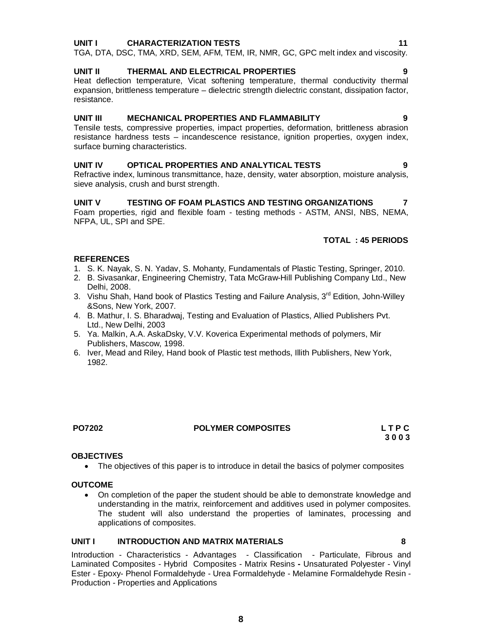## **UNIT I CHARACTERIZATION TESTS 11**

TGA, DTA, DSC, TMA, XRD, SEM, AFM, TEM, IR, NMR, GC, GPC melt index and viscosity.

## **UNIT II THERMAL AND ELECTRICAL PROPERTIES 9**

Heat deflection temperature, Vicat softening temperature, thermal conductivity thermal expansion, brittleness temperature – dielectric strength dielectric constant, dissipation factor, resistance.

## **UNIT III MECHANICAL PROPERTIES AND FLAMMABILITY 9**

Tensile tests, compressive properties, impact properties, deformation, brittleness abrasion resistance hardness tests – incandescence resistance, ignition properties, oxygen index, surface burning characteristics.

## **UNIT IV OPTICAL PROPERTIES AND ANALYTICAL TESTS 9**

Refractive index, luminous transmittance, haze, density, water absorption, moisture analysis, sieve analysis, crush and burst strength.

## UNIT V TESTING OF FOAM PLASTICS AND TESTING ORGANIZATIONS 7

Foam properties, rigid and flexible foam - testing methods - ASTM, ANSI, NBS, NEMA, NFPA, UL, SPI and SPE.

## **TOTAL : 45 PERIODS**

## **REFERENCES**

- 1. S. K. Nayak, S. N. Yadav, S. Mohanty, Fundamentals of Plastic Testing, Springer, 2010.
- 2. B. Sivasankar, Engineering Chemistry, Tata McGraw-Hill Publishing Company Ltd., New Delhi, 2008.
- 3. Vishu Shah, Hand book of Plastics Testing and Failure Analysis,  $3<sup>rd</sup>$  Edition, John-Willey &Sons, New York, 2007.
- 4. B. Mathur, I. S. Bharadwaj, Testing and Evaluation of Plastics, Allied Publishers Pvt. Ltd., New Delhi, 2003
- 5. Ya. Malkin, A.A. AskaDsky, V.V. Koverica Experimental methods of polymers, Mir Publishers, Mascow, 1998.
- 6. Iver, Mead and Riley, Hand book of Plastic test methods, Illith Publishers, New York, 1982.

## **PO7202 POLYMER COMPOSITES L T P C**

**3 0 0 3** 

## **OBJECTIVES**

• The objectives of this paper is to introduce in detail the basics of polymer composites

## **OUTCOME**

 On completion of the paper the student should be able to demonstrate knowledge and understanding in the matrix, reinforcement and additives used in polymer composites. The student will also understand the properties of laminates, processing and applications of composites.

## **UNIT I INTRODUCTION AND MATRIX MATERIALS 8**

Introduction - Characteristics - Advantages - Classification - Particulate, Fibrous and Laminated Composites - Hybrid Composites - Matrix Resins **-** Unsaturated Polyester - Vinyl Ester - Epoxy- Phenol Formaldehyde - Urea Formaldehyde - Melamine Formaldehyde Resin - Production - Properties and Applications

**8**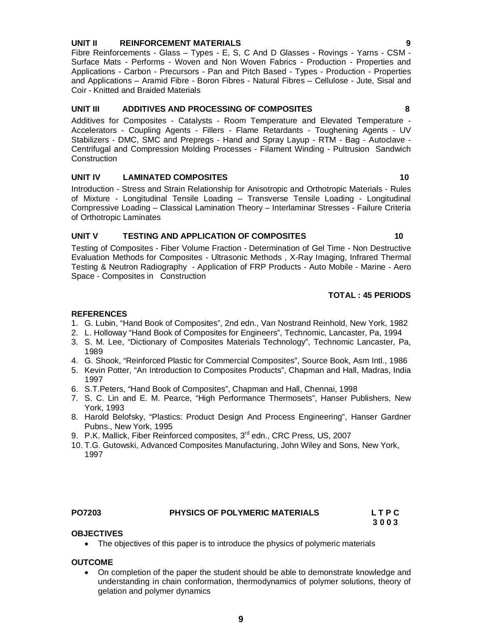### **UNIT II REINFORCEMENT MATERIALS 9**

Fibre Reinforcements - Glass – Types - E, S, C And D Glasses - Rovings - Yarns - CSM - Surface Mats - Performs - Woven and Non Woven Fabrics - Production - Properties and Applications - Carbon - Precursors - Pan and Pitch Based - Types - Production - Properties and Applications – Aramid Fibre - Boron Fibres - Natural Fibres – Cellulose - Jute, Sisal and Coir - Knitted and Braided Materials

#### **UNIT III ADDITIVES AND PROCESSING OF COMPOSITES 8**

Additives for Composites - Catalysts - Room Temperature and Elevated Temperature - Accelerators - Coupling Agents - Fillers - Flame Retardants - Toughening Agents - UV Stabilizers - DMC, SMC and Prepregs - Hand and Spray Layup - RTM - Bag - Autoclave - Centrifugal and Compression Molding Processes - Filament Winding - Pultrusion Sandwich **Construction** 

#### **UNIT IV LAMINATED COMPOSITES** 10

Introduction - Stress and Strain Relationship for Anisotropic and Orthotropic Materials - Rules of Mixture - Longitudinal Tensile Loading – Transverse Tensile Loading - Longitudinal Compressive Loading – Classical Lamination Theory – Interlaminar Stresses - Failure Criteria of Orthotropic Laminates

#### **UNIT V TESTING AND APPLICATION OF COMPOSITES 10**

Testing of Composites - Fiber Volume Fraction - Determination of Gel Time - Non Destructive Evaluation Methods for Composites - Ultrasonic Methods , X-Ray Imaging, Infrared Thermal Testing & Neutron Radiography - Application of FRP Products - Auto Mobile - Marine - Aero Space - Composites in Construction

#### **TOTAL : 45 PERIODS**

#### **REFERENCES**

- 1. G. Lubin, "Hand Book of Composites", 2nd edn., Van Nostrand Reinhold, New York, 1982
- 2. L. Holloway "Hand Book of Composites for Engineers", Technomic, Lancaster, Pa, 1994
- 3. S. M. Lee, "Dictionary of Composites Materials Technology", Technomic Lancaster, Pa, 1989
- 4. G. Shook, "Reinforced Plastic for Commercial Composites", Source Book, Asm Intl., 1986
- 5. Kevin Potter, "An Introduction to Composites Products", Chapman and Hall, Madras, India 1997
- 6. S.T.Peters, "Hand Book of Composites", Chapman and Hall, Chennai, 1998
- 7. S. C. Lin and E. M. Pearce, "High Performance Thermosets", Hanser Publishers, New York, 1993
- 8. Harold Belofsky, "Plastics: Product Design And Process Engineering", Hanser Gardner Pubns., New York, 1995
- 9. P.K. Mallick, Fiber Reinforced composites, 3<sup>rd</sup> edn., CRC Press, US, 2007
- 10. T.G. Gutowski, Advanced Composites Manufacturing, John Wiley and Sons, New York, 1997

#### **PO7203 PHYSICS OF POLYMERIC MATERIALS L T P C 3 0 0 3**

• The objectives of this paper is to introduce the physics of polymeric materials

## **OUTCOME**

**OBJECTIVES**

 On completion of the paper the student should be able to demonstrate knowledge and understanding in chain conformation, thermodynamics of polymer solutions, theory of gelation and polymer dynamics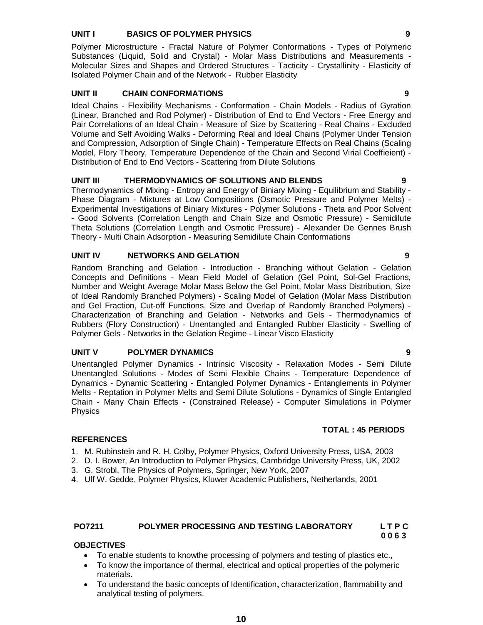#### **UNIT I BASICS OF POLYMER PHYSICS 9**

Polymer Microstructure - Fractal Nature of Polymer Conformations - Types of Polymeric Substances (Liquid, Solid and Crystal) - Molar Mass Distributions and Measurements - Molecular Sizes and Shapes and Ordered Structures - Tacticity - Crystallinity - Elasticity of Isolated Polymer Chain and of the Network - Rubber Elasticity

#### **UNIT II CHAIN CONFORMATIONS 9**

Ideal Chains - Flexibility Mechanisms - Conformation - Chain Models - Radius of Gyration (Linear, Branched and Rod Polymer) - Distribution of End to End Vectors - Free Energy and Pair Correlations of an Ideal Chain - Measure of Size by Scattering - Real Chains - Excluded Volume and Self Avoiding Walks - Deforming Real and Ideal Chains (Polymer Under Tension and Compression, Adsorption of Single Chain) - Temperature Effects on Real Chains (Scaling Model, Flory Theory, Temperature Dependence of the Chain and Second Virial Coeffieient) - Distribution of End to End Vectors - Scattering from Dilute Solutions

#### **UNIT III THERMODYNAMICS OF SOLUTIONS AND BLENDS 9**

Thermodynamics of Mixing - Entropy and Energy of Biniary Mixing - Equilibrium and Stability - Phase Diagram - Mixtures at Low Compositions (Osmotic Pressure and Polymer Melts) - Experimental Investigations of Biniary Mixtures - Polymer Solutions - Theta and Poor Solvent - Good Solvents (Correlation Length and Chain Size and Osmotic Pressure) - Semidilute Theta Solutions (Correlation Length and Osmotic Pressure) - Alexander De Gennes Brush Theory - Multi Chain Adsorption - Measuring Semidilute Chain Conformations

#### **UNIT IV NETWORKS AND GELATION 9**

Random Branching and Gelation - Introduction - Branching without Gelation - Gelation Concepts and Definitions - Mean Field Model of Gelation (Gel Point, Sol-Gel Fractions, Number and Weight Average Molar Mass Below the Gel Point, Molar Mass Distribution, Size of Ideal Randomly Branched Polymers) - Scaling Model of Gelation (Molar Mass Distribution and Gel Fraction, Cut-off Functions, Size and Overlap of Randomly Branched Polymers) - Characterization of Branching and Gelation - Networks and Gels - Thermodynamics of Rubbers (Flory Construction) - Unentangled and Entangled Rubber Elasticity - Swelling of Polymer Gels - Networks in the Gelation Regime - Linear Visco Elasticity

#### **UNIT V POLYMER DYNAMICS 9**

Unentangled Polymer Dynamics - Intrinsic Viscosity - Relaxation Modes - Semi Dilute Unentangled Solutions - Modes of Semi Flexible Chains - Temperature Dependence of Dynamics - Dynamic Scattering - Entangled Polymer Dynamics - Entanglements in Polymer Melts - Reptation in Polymer Melts and Semi Dilute Solutions - Dynamics of Single Entangled Chain - Many Chain Effects - (Constrained Release) - Computer Simulations in Polymer Physics

#### **TOTAL : 45 PERIODS**

#### **REFERENCES**

- 1. M. Rubinstein and R. H. Colby, Polymer Physics, Oxford University Press, USA, 2003
- 2. D. I. Bower, An Introduction to Polymer Physics, Cambridge University Press, UK, 2002
- 3. G. Strobl, The Physics of Polymers, Springer, New York, 2007
- 4. Ulf W. Gedde, Polymer Physics, Kluwer Academic Publishers, Netherlands, 2001

#### **PO7211 POLYMER PROCESSING AND TESTING LABORATORY L T P C 0 0 6 3**

#### **OBJECTIVES**

- To enable students to knowthe processing of polymers and testing of plastics etc.,
- To know the importance of thermal, electrical and optical properties of the polymeric materials.
- To understand the basic concepts of Identification**,** characterization, flammability and analytical testing of polymers.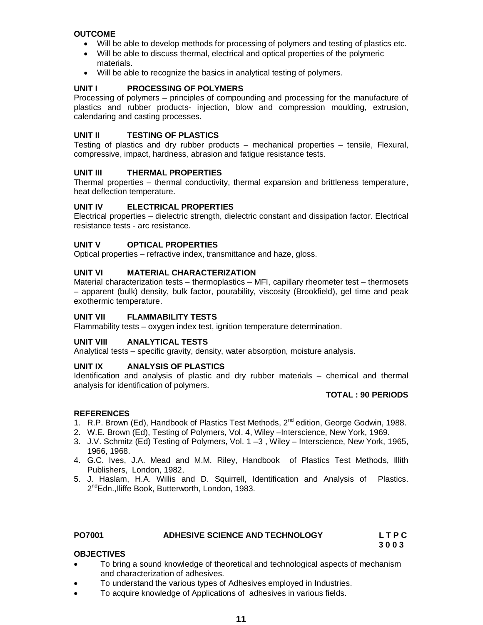#### **OUTCOME**

- Will be able to develop methods for processing of polymers and testing of plastics etc.
- Will be able to discuss thermal, electrical and optical properties of the polymeric materials.
- Will be able to recognize the basics in analytical testing of polymers.

#### **UNIT I PROCESSING OF POLYMERS**

Processing of polymers – principles of compounding and processing for the manufacture of plastics and rubber products- injection, blow and compression moulding, extrusion, calendaring and casting processes.

#### **UNIT II TESTING OF PLASTICS**

Testing of plastics and dry rubber products – mechanical properties – tensile, Flexural, compressive, impact, hardness, abrasion and fatigue resistance tests.

#### **UNIT III THERMAL PROPERTIES**

Thermal properties – thermal conductivity, thermal expansion and brittleness temperature, heat deflection temperature.

#### **UNIT IV ELECTRICAL PROPERTIES**

Electrical properties – dielectric strength, dielectric constant and dissipation factor. Electrical resistance tests - arc resistance.

#### **UNIT V OPTICAL PROPERTIES**

Optical properties – refractive index, transmittance and haze, gloss.

#### **UNIT VI MATERIAL CHARACTERIZATION**

Material characterization tests – thermoplastics – MFI, capillary rheometer test – thermosets – apparent (bulk) density, bulk factor, pourability, viscosity (Brookfield), gel time and peak exothermic temperature.

#### **UNIT VII FLAMMABILITY TESTS**

Flammability tests – oxygen index test, ignition temperature determination.

#### **UNIT VIII ANALYTICAL TESTS**

Analytical tests – specific gravity, density, water absorption, moisture analysis.

#### **UNIT IX ANALYSIS OF PLASTICS**

Identification and analysis of plastic and dry rubber materials – chemical and thermal analysis for identification of polymers.

#### **TOTAL : 90 PERIODS**

#### **REFERENCES**

- 1. R.P. Brown (Ed), Handbook of Plastics Test Methods, 2<sup>nd</sup> edition, George Godwin, 1988.
- 2. W.E. Brown (Ed), Testing of Polymers, Vol. 4, Wiley –Interscience, New York, 1969.
- 3. J.V. Schmitz (Ed) Testing of Polymers, Vol. 1 –3 , Wiley Interscience, New York, 1965, 1966, 1968.
- 4. G.C. Ives, J.A. Mead and M.M. Riley, Handbook of Plastics Test Methods, Illith Publishers, London, 1982,
- 5. J. Haslam, H.A. Willis and D. Squirrell, Identification and Analysis of Plastics. 2<sup>nd</sup>Edn., lliffe Book, Butterworth, London, 1983.

#### **PO7001 ADHESIVE SCIENCE AND TECHNOLOGY L T P C 3 0 0 3**

#### **OBJECTIVES**

- To bring a sound knowledge of theoretical and technological aspects of mechanism and characterization of adhesives.
- To understand the various types of Adhesives employed in Industries.
- To acquire knowledge of Applications of adhesives in various fields.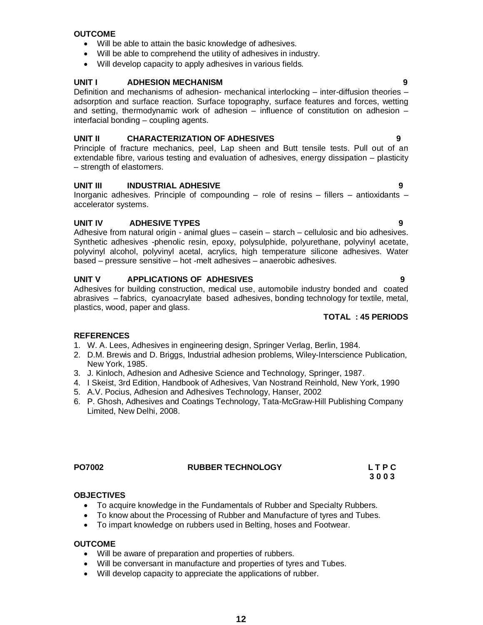#### **OUTCOME**

- Will be able to attain the basic knowledge of adhesives.
- Will be able to comprehend the utility of adhesives in industry.
- Will develop capacity to apply adhesives in various fields.

### **UNIT I ADHESION MECHANISM 9**

Definition and mechanisms of adhesion- mechanical interlocking – inter-diffusion theories – adsorption and surface reaction. Surface topography, surface features and forces, wetting and setting, thermodynamic work of adhesion – influence of constitution on adhesion – interfacial bonding – coupling agents.

### **UNIT II CHARACTERIZATION OF ADHESIVES 9**

Principle of fracture mechanics, peel, Lap sheen and Butt tensile tests. Pull out of an extendable fibre, various testing and evaluation of adhesives, energy dissipation – plasticity – strength of elastomers.

#### **UNIT III INDUSTRIAL ADHESIVE 9**

Inorganic adhesives. Principle of compounding – role of resins – fillers – antioxidants – accelerator systems.

### **UNIT IV ADHESIVE TYPES 9**

Adhesive from natural origin - animal glues – casein – starch – cellulosic and bio adhesives. Synthetic adhesives -phenolic resin, epoxy, polysulphide, polyurethane, polyvinyl acetate, polyvinyl alcohol, polyvinyl acetal, acrylics, high temperature silicone adhesives. Water based – pressure sensitive – hot -melt adhesives – anaerobic adhesives.

### **UNIT V APPLICATIONS OF ADHESIVES 9**

Adhesives for building construction, medical use, automobile industry bonded and coated abrasives – fabrics, cyanoacrylate based adhesives, bonding technology for textile, metal, plastics, wood, paper and glass.

### **TOTAL : 45 PERIODS**

### **REFERENCES**

- 1. W. A. Lees, Adhesives in engineering design, Springer Verlag, Berlin, 1984.
- 2. D.M. Brewis and D. Briggs, Industrial adhesion problems, Wiley-Interscience Publication, New York, 1985.
- 3. J. Kinloch, Adhesion and Adhesive Science and Technology, Springer, 1987.
- 4. I Skeist, 3rd Edition, Handbook of Adhesives, Van Nostrand Reinhold, New York, 1990
- 5. A.V. Pocius, Adhesion and Adhesives Technology, Hanser, 2002
- 6. P. Ghosh, Adhesives and Coatings Technology, Tata-McGraw-Hill Publishing Company Limited, New Delhi, 2008.

**PO7002 RUBBER TECHNOLOGY L T P C**

#### **OBJECTIVES**

- To acquire knowledge in the Fundamentals of Rubber and Specialty Rubbers.
- To know about the Processing of Rubber and Manufacture of tyres and Tubes.
- To impart knowledge on rubbers used in Belting, hoses and Footwear.

#### **OUTCOME**

- Will be aware of preparation and properties of rubbers.
- Will be conversant in manufacture and properties of tyres and Tubes.
- Will develop capacity to appreciate the applications of rubber.

**3 0 0 3**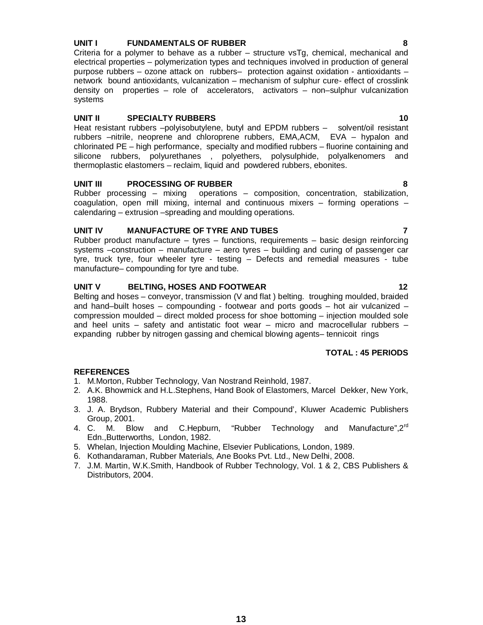### **UNIT I FUNDAMENTALS OF RUBBER 8**

Criteria for a polymer to behave as a rubber – structure vsTg, chemical, mechanical and electrical properties – polymerization types and techniques involved in production of general purpose rubbers – ozone attack on rubbers– protection against oxidation - antioxidants – network bound antioxidants, vulcanization – mechanism of sulphur cure- effect of crosslink density on properties – role of accelerators, activators – non–sulphur vulcanization systems

#### **UNIT II** SPECIALTY RUBBERS 10

Heat resistant rubbers –polyisobutylene, butyl and EPDM rubbers – solvent/oil resistant rubbers –nitrile, neoprene and chloroprene rubbers, EMA,ACM, EVA – hypalon and chlorinated PE – high performance, specialty and modified rubbers – fluorine containing and silicone rubbers, polyurethanes , polyethers, polysulphide, polyalkenomers and thermoplastic elastomers – reclaim, liquid and powdered rubbers, ebonites.

#### **UNIT III PROCESSING OF RUBBER 8**

Rubber processing – mixing operations – composition, concentration, stabilization, coagulation, open mill mixing, internal and continuous mixers – forming operations – calendaring – extrusion –spreading and moulding operations.

#### **UNIT IV MANUFACTURE OF TYRE AND TUBES 7**

Rubber product manufacture – tyres – functions, requirements – basic design reinforcing systems –construction – manufacture – aero tyres – building and curing of passenger car tyre, truck tyre, four wheeler tyre - testing – Defects and remedial measures - tube manufacture– compounding for tyre and tube.

#### **UNIT V BELTING, HOSES AND FOOTWEAR 12**

Belting and hoses – conveyor, transmission (V and flat ) belting. troughing moulded, braided and hand–built hoses – compounding - footwear and ports goods – hot air vulcanized – compression moulded – direct molded process for shoe bottoming – injection moulded sole and heel units – safety and antistatic foot wear – micro and macrocellular rubbers – expanding rubber by nitrogen gassing and chemical blowing agents– tennicoit rings

#### **TOTAL : 45 PERIODS**

- 1. M.Morton, Rubber Technology, Van Nostrand Reinhold, 1987.
- 2. A.K. Bhowmick and H.L.Stephens, Hand Book of Elastomers, Marcel Dekker, New York, 1988.
- 3. J. A. Brydson, Rubbery Material and their Compound', Kluwer Academic Publishers Group, 2001.
- 4. C. M. Blow and C.Hepburn, "Rubber Technology and Manufacture".2<sup>rd</sup> Edn.,Butterworths, London, 1982.
- 5. Whelan, Injection Moulding Machine, Elsevier Publications, London, 1989.
- 6. Kothandaraman, Rubber Materials, Ane Books Pvt. Ltd., New Delhi, 2008.
- 7. J.M. Martin, W.K.Smith, Handbook of Rubber Technology, Vol. 1 & 2, CBS Publishers & Distributors, 2004.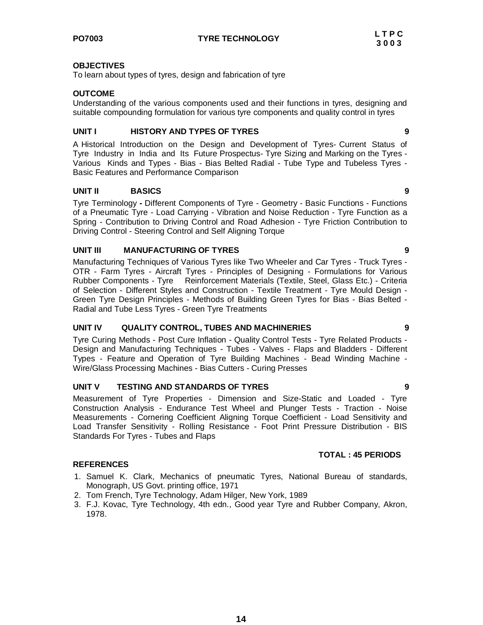To learn about types of tyres, design and fabrication of tyre

#### **OUTCOME**

Understanding of the various components used and their functions in tyres, designing and suitable compounding formulation for various tyre components and quality control in tyres

#### **UNIT I HISTORY AND TYPES OF TYRES 9**

A Historical Introduction on the Design and Development of Tyres- Current Status of Tyre Industry in India and Its Future Prospectus- Tyre Sizing and Marking on the Tyres - Various Kinds and Types - Bias - Bias Belted Radial - Tube Type and Tubeless Tyres - Basic Features and Performance Comparison

#### **UNIT II BASICS 9**

Tyre Terminology **-** Different Components of Tyre - Geometry - Basic Functions - Functions of a Pneumatic Tyre - Load Carrying - Vibration and Noise Reduction - Tyre Function as a Spring - Contribution to Driving Control and Road Adhesion - Tyre Friction Contribution to Driving Control - Steering Control and Self Aligning Torque

#### **UNIT III MANUFACTURING OF TYRES 9**

Manufacturing Techniques of Various Tyres like Two Wheeler and Car Tyres - Truck Tyres - OTR - Farm Tyres - Aircraft Tyres - Principles of Designing - Formulations for Various Rubber Components - Tyre Reinforcement Materials (Textile, Steel, Glass Etc.) - Criteria of Selection - Different Styles and Construction - Textile Treatment - Tyre Mould Design - Green Tyre Design Principles - Methods of Building Green Tyres for Bias - Bias Belted - Radial and Tube Less Tyres - Green Tyre Treatments

#### **UNIT IV QUALITY CONTROL, TUBES AND MACHINERIES 9**

Tyre Curing Methods - Post Cure Inflation - Quality Control Tests - Tyre Related Products - Design and Manufacturing Techniques - Tubes - Valves - Flaps and Bladders - Different Types - Feature and Operation of Tyre Building Machines - Bead Winding Machine - Wire/Glass Processing Machines - Bias Cutters - Curing Presses

#### **UNIT V TESTING AND STANDARDS OF TYRES 9**

Measurement of Tyre Properties - Dimension and Size-Static and Loaded - Tyre Construction Analysis - Endurance Test Wheel and Plunger Tests - Traction - Noise Measurements - Cornering Coefficient Aligning Torque Coefficient - Load Sensitivity and Load Transfer Sensitivity - Rolling Resistance - Foot Print Pressure Distribution - BIS Standards For Tyres - Tubes and Flaps

#### **REFERENCES**

- 1. Samuel K. Clark, Mechanics of pneumatic Tyres, National Bureau of standards, Monograph, US Govt. printing office, 1971
- 2. Tom French, Tyre Technology, Adam Hilger, New York, 1989
- 3. F.J. Kovac, Tyre Technology, 4th edn., Good year Tyre and Rubber Company, Akron, 1978.

 **TOTAL : 45 PERIODS**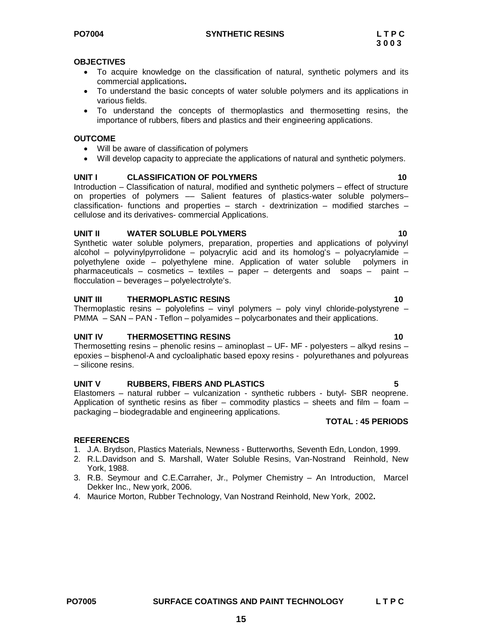- To acquire knowledge on the classification of natural, synthetic polymers and its commercial applications**.**
- To understand the basic concepts of water soluble polymers and its applications in various fields.
- To understand the concepts of thermoplastics and thermosetting resins, the importance of rubbers, fibers and plastics and their engineering applications.

#### **OUTCOME**

- Will be aware of classification of polymers
- Will develop capacity to appreciate the applications of natural and synthetic polymers.

#### **UNIT I** CLASSIFICATION OF POLYMERS 10

Introduction – Classification of natural, modified and synthetic polymers – effect of structure on properties of polymers –– Salient features of plastics-water soluble polymers– classification- functions and properties – starch - dextrinization – modified starches – cellulose and its derivatives- commercial Applications.

#### **UNIT II WATER SOLUBLE POLYMERS 10** 10

Synthetic water soluble polymers, preparation, properties and applications of polyvinyl alcohol – polyvinylpyrrolidone – polyacrylic acid and its homolog's – polyacrylamide – polyethylene oxide – polyethylene mine. Application of water soluble polymers in pharmaceuticals – cosmetics – textiles – paper – detergents and soaps – paint – flocculation – beverages – polyelectrolyte's.

#### **UNIT III THERMOPLASTIC RESINS 10**

Thermoplastic resins – polyolefins – vinyl polymers – poly vinyl chloride-polystyrene – PMMA – SAN – PAN - Teflon – polyamides – polycarbonates and their applications.

#### **UNIT IV THERMOSETTING RESINS 10**

Thermosetting resins – phenolic resins – aminoplast – UF- MF - polyesters – alkyd resins – epoxies – bisphenol-A and cycloaliphatic based epoxy resins - polyurethanes and polyureas – silicone resins.

#### **UNIT V RUBBERS, FIBERS AND PLASTICS 5**

Elastomers – natural rubber – vulcanization - synthetic rubbers - butyl- SBR neoprene. Application of synthetic resins as fiber – commodity plastics – sheets and film – foam – packaging – biodegradable and engineering applications.

#### **TOTAL : 45 PERIODS**

- 1. J.A. Brydson, Plastics Materials, Newness Butterworths, Seventh Edn, London, 1999.
- 2. R.L.Davidson and S. Marshall, Water Soluble Resins, Van-Nostrand Reinhold, New York, 1988.
- 3. R.B. Seymour and C.E.Carraher, Jr., Polymer Chemistry An Introduction, Marcel Dekker Inc., New york, 2006.
- 4. Maurice Morton, Rubber Technology, Van Nostrand Reinhold, New York, 2002**.**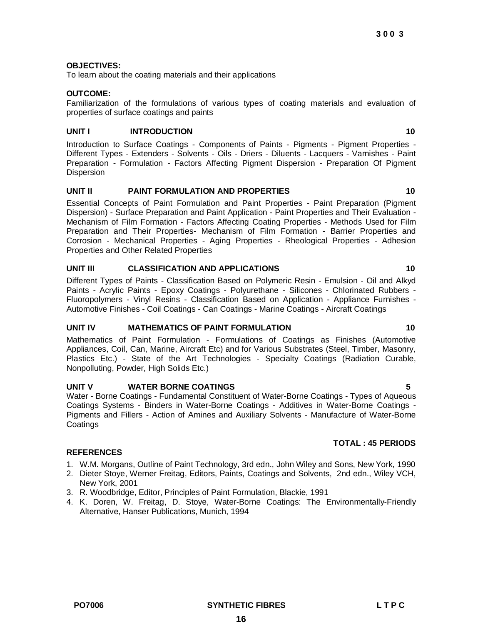To learn about the coating materials and their applications

#### **OUTCOME:**

Familiarization of the formulations of various types of coating materials and evaluation of properties of surface coatings and paints

#### **UNIT I INTRODUCTION 10**

Introduction to Surface Coatings - Components of Paints - Pigments - Pigment Properties -Different Types - Extenders - Solvents - Oils - Driers - Diluents - Lacquers - Varnishes - Paint Preparation - Formulation - Factors Affecting Pigment Dispersion - Preparation Of Pigment Dispersion

#### **UNIT II PAINT FORMULATION AND PROPERTIES 10**

Essential Concepts of Paint Formulation and Paint Properties - Paint Preparation (Pigment Dispersion) - Surface Preparation and Paint Application - Paint Properties and Their Evaluation - Mechanism of Film Formation - Factors Affecting Coating Properties - Methods Used for Film Preparation and Their Properties- Mechanism of Film Formation - Barrier Properties and Corrosion - Mechanical Properties - Aging Properties - Rheological Properties - Adhesion Properties and Other Related Properties

#### **UNIT III CLASSIFICATION AND APPLICATIONS 10**

Different Types of Paints - Classification Based on Polymeric Resin - Emulsion - Oil and Alkyd Paints - Acrylic Paints - Epoxy Coatings - Polyurethane - Silicones - Chlorinated Rubbers - Fluoropolymers - Vinyl Resins - Classification Based on Application - Appliance Furnishes - Automotive Finishes - Coil Coatings - Can Coatings - Marine Coatings - Aircraft Coatings

#### **UNIT IV MATHEMATICS OF PAINT FORMULATION 10**

Mathematics of Paint Formulation - Formulations of Coatings as Finishes (Automotive Appliances, Coil, Can, Marine, Aircraft Etc) and for Various Substrates (Steel, Timber, Masonry, Plastics Etc.) - State of the Art Technologies - Specialty Coatings (Radiation Curable, Nonpolluting, Powder, High Solids Etc.)

#### **UNIT V WATER BORNE COATINGS 5**

Water - Borne Coatings - Fundamental Constituent of Water-Borne Coatings - Types of Aqueous Coatings Systems - Binders in Water-Borne Coatings - Additives in Water-Borne Coatings - Pigments and Fillers - Action of Amines and Auxiliary Solvents - Manufacture of Water-Borne **Coatings** 

#### **REFERENCES**

- 1. W.M. Morgans, Outline of Paint Technology, 3rd edn., John Wiley and Sons, New York, 1990
- 2. Dieter Stoye, Werner Freitag, Editors, Paints, Coatings and Solvents, 2nd edn., Wiley VCH, New York, 2001
- 3. R. Woodbridge, Editor, Principles of Paint Formulation, Blackie, 1991
- 4. K. Doren, W. Freitag, D. Stoye, Water-Borne Coatings: The Environmentally-Friendly Alternative, Hanser Publications, Munich, 1994

**16**

**TOTAL : 45 PERIODS**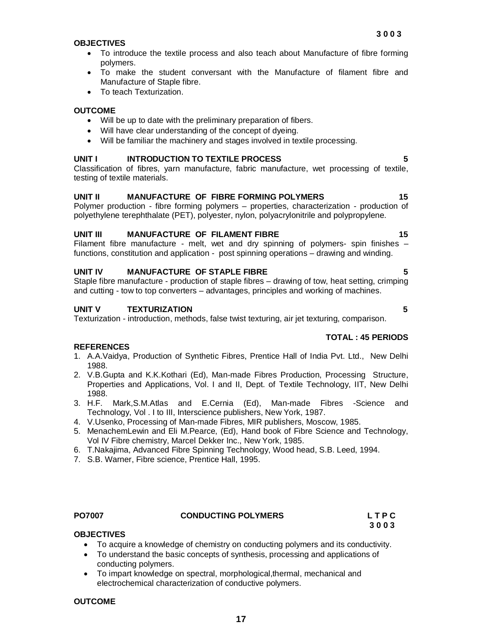**UNIT IV MANUFACTURE OF STAPLE FIBRE 5**

Staple fibre manufacture - production of staple fibres – drawing of tow, heat setting, crimping and cutting - tow to top converters – advantages, principles and working of machines.

#### **UNIT V TEXTURIZATION 5**

Texturization - introduction, methods, false twist texturing, air jet texturing, comparison.

#### **REFERENCES**

- 1. A.A.Vaidya, Production of Synthetic Fibres, Prentice Hall of India Pvt. Ltd., New Delhi 1988.
- 2. V.B.Gupta and K.K.Kothari (Ed), Man-made Fibres Production, Processing Structure, Properties and Applications, Vol. I and II, Dept. of Textile Technology, IIT, New Delhi 1988.
- 3. H.F. Mark,S.M.Atlas and E.Cernia (Ed), Man-made Fibres -Science and Technology, Vol . I to III, Interscience publishers, New York, 1987.
- 4. V.Usenko, Processing of Man-made Fibres, MIR publishers, Moscow, 1985.
- 5. MenachemLewin and Eli M.Pearce, (Ed), Hand book of Fibre Science and Technology, Vol IV Fibre chemistry, Marcel Dekker Inc., New York, 1985.
- 6. T.Nakajima, Advanced Fibre Spinning Technology, Wood head, S.B. Leed, 1994.
- 7. S.B. Warner, Fibre science, Prentice Hall, 1995.

- **OBJECTIVES**
	- To acquire a knowledge of chemistry on conducting polymers and its conductivity.

**PO7007 CONDUCTING POLYMERS L T P C**

- To understand the basic concepts of synthesis, processing and applications of conducting polymers.
- To impart knowledge on spectral, morphological,thermal, mechanical and electrochemical characterization of conductive polymers.

#### **OUTCOME**

- To introduce the textile process and also teach about Manufacture of fibre forming polymers.
- To make the student conversant with the Manufacture of filament fibre and Manufacture of Staple fibre.
- To teach Texturization.

#### **OUTCOME**

- Will be up to date with the preliminary preparation of fibers.
- Will have clear understanding of the concept of dyeing.
- Will be familiar the machinery and stages involved in textile processing.

#### **UNIT I INTRODUCTION TO TEXTILE PROCESS 5**

Classification of fibres, yarn manufacture, fabric manufacture, wet processing of textile, testing of textile materials.

#### UNIT II MANUFACTURE OF FIBRE FORMING POLYMERS **15**

Polymer production - fibre forming polymers – properties, characterization - production of polyethylene terephthalate (PET), polyester, nylon, polyacrylonitrile and polypropylene.

#### UNIT III MANUFACTURE OF FILAMENT FIBRE 15

Filament fibre manufacture - melt, wet and dry spinning of polymers- spin finishes – functions, constitution and application - post spinning operations – drawing and winding.

**TOTAL : 45 PERIODS**

**3 0 0 3**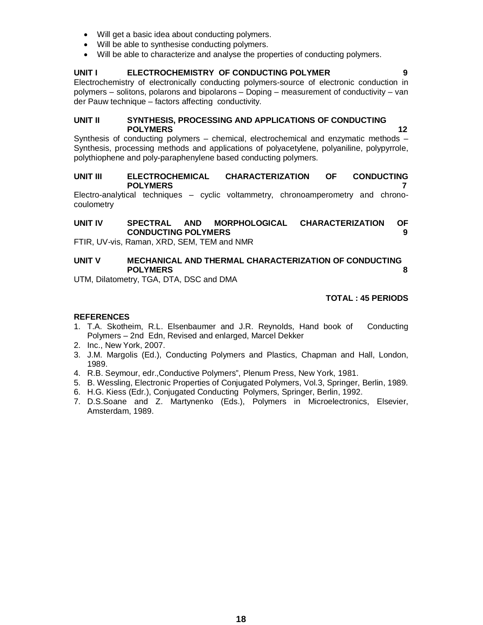- Will get a basic idea about conducting polymers.
- Will be able to synthesise conducting polymers.
- Will be able to characterize and analyse the properties of conducting polymers.

#### **UNIT I ELECTROCHEMISTRY OF CONDUCTING POLYMER 9**

Electrochemistry of electronically conducting polymers-source of electronic conduction in polymers – solitons, polarons and bipolarons – Doping – measurement of conductivity – van der Pauw technique – factors affecting conductivity.

#### **UNIT II SYNTHESIS, PROCESSING AND APPLICATIONS OF CONDUCTING POLYMERS 12**

Synthesis of conducting polymers – chemical, electrochemical and enzymatic methods – Synthesis, processing methods and applications of polyacetylene, polyaniline, polypyrrole, polythiophene and poly-paraphenylene based conducting polymers.

#### **UNIT III ELECTROCHEMICAL CHARACTERIZATION OF CONDUCTING POLYMERS 7**

Electro-analytical techniques – cyclic voltammetry, chronoamperometry and chronocoulometry

#### **UNIT IV SPECTRAL AND MORPHOLOGICAL CHARACTERIZATION OF CONDUCTING POLYMERS 9**

FTIR, UV-vis, Raman, XRD, SEM, TEM and NMR

#### **UNIT V MECHANICAL AND THERMAL CHARACTERIZATION OF CONDUCTING POLYMERS 8**

UTM, Dilatometry, TGA, DTA, DSC and DMA

#### **TOTAL : 45 PERIODS**

- 1. T.A. Skotheim, R.L. Elsenbaumer and J.R. Reynolds, Hand book of Conducting Polymers – 2nd Edn, Revised and enlarged, Marcel Dekker
- 2. Inc., New York, 2007.
- 3. J.M. Margolis (Ed.), Conducting Polymers and Plastics, Chapman and Hall, London, 1989.
- 4. R.B. Seymour, edr.,Conductive Polymers", Plenum Press, New York, 1981.
- 5. B. Wessling, Electronic Properties of Conjugated Polymers, Vol.3, Springer, Berlin, 1989.
- 6. H.G. Kiess (Edr.), Conjugated Conducting Polymers, Springer, Berlin, 1992.
- 7. D.S.Soane and Z. Martynenko (Eds.), Polymers in Microelectronics, Elsevier, Amsterdam, 1989.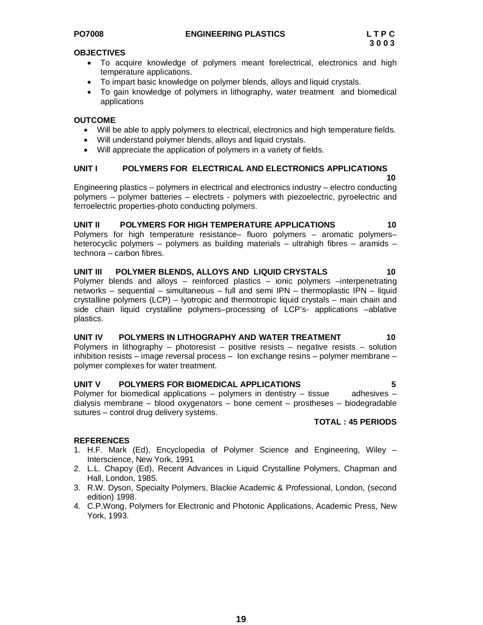- To acquire knowledge of polymers meant forelectrical, electronics and high temperature applications.
- To impart basic knowledge on polymer blends, alloys and liquid crystals.
- To gain knowledge of polymers in lithography, water treatment and biomedical applications

#### **OUTCOME**

- Will be able to apply polymers to electrical, electronics and high temperature fields.
- Will understand polymer blends, alloys and liquid crystals.
- Will appreciate the application of polymers in a variety of fields.

### **UNIT I POLYMERS FOR ELECTRICAL AND ELECTRONICS APPLICATIONS**

 **10** Engineering plastics – polymers in electrical and electronics industry – electro conducting polymers – polymer batteries – electrets - polymers with piezoelectric, pyroelectric and ferroelectric properties-photo conducting polymers.

#### **UNIT II POLYMERS FOR HIGH TEMPERATURE APPLICATIONS 10**

Polymers for high temperature resistance– fluoro polymers – aromatic polymers– heterocyclic polymers – polymers as building materials – ultrahigh fibres – aramids – technora – carbon fibres.

## **UNIT III POLYMER BLENDS, ALLOYS AND LIQUID CRYSTALS 10**

Polymer blends and alloys – reinforced plastics – ionic polymers –interpenetrating networks – sequential – simultaneous – full and semi IPN – thermoplastic IPN – liquid crystalline polymers (LCP) – lyotropic and thermotropic liquid crystals – main chain and side chain liquid crystalline polymers–processing of LCP's- applications –ablative plastics.

#### **UNIT IV POLYMERS IN LITHOGRAPHY AND WATER TREATMENT 10**

Polymers in lithography – photoresist – positive resists – negative resists – solution inhibition resists – image reversal process – Ion exchange resins – polymer membrane – polymer complexes for water treatment.

#### **UNIT V POLYMERS FOR BIOMEDICAL APPLICATIONS 5**

Polymer for biomedical applications  $-$  polymers in dentistry  $-$  tissue adhesives  $$ dialysis membrane – blood oxygenators – bone cement – prostheses – biodegradable sutures – control drug delivery systems.

#### **TOTAL : 45 PERIODS**

- 1. H.F. Mark (Ed), Encyclopedia of Polymer Science and Engineering, Wiley Interscience, New York, 1991
- 2. L.L. Chapoy (Ed), Recent Advances in Liquid Crystalline Polymers, Chapman and Hall, London, 1985.
- 3. R.W. Dyson, Specialty Polymers, Blackie Academic & Professional, London, (second edition) 1998.
- 4. C.P.Wong, Polymers for Electronic and Photonic Applications, Academic Press, New York, 1993.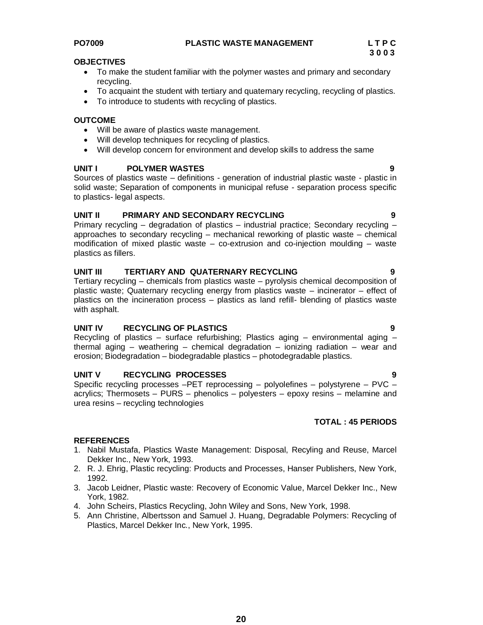#### **PO7009 PLASTIC WASTE MANAGEMENT L T P C**

#### **OBJECTIVES**

- To make the student familiar with the polymer wastes and primary and secondary recycling.
- To acquaint the student with tertiary and quaternary recycling, recycling of plastics.
- To introduce to students with recycling of plastics.

#### **OUTCOME**

- Will be aware of plastics waste management.
- Will develop techniques for recycling of plastics.
- Will develop concern for environment and develop skills to address the same

#### **UNIT I POLYMER WASTES 9**

Sources of plastics waste – definitions - generation of industrial plastic waste - plastic in solid waste; Separation of components in municipal refuse - separation process specific to plastics- legal aspects.

#### **UNIT II PRIMARY AND SECONDARY RECYCLING 9**

Primary recycling – degradation of plastics – industrial practice; Secondary recycling – approaches to secondary recycling – mechanical reworking of plastic waste – chemical modification of mixed plastic waste – co-extrusion and co-injection moulding – waste plastics as fillers.

#### **UNIT III TERTIARY AND QUATERNARY RECYCLING 9**

Tertiary recycling – chemicals from plastics waste – pyrolysis chemical decomposition of plastic waste; Quaternary recycling energy from plastics waste – incinerator – effect of plastics on the incineration process – plastics as land refill- blending of plastics waste with asphalt.

#### **UNIT IV RECYCLING OF PLASTICS 9**

Recycling of plastics – surface refurbishing; Plastics aging – environmental aging – thermal aging – weathering – chemical degradation – ionizing radiation – wear and erosion; Biodegradation – biodegradable plastics – photodegradable plastics.

#### **UNIT V RECYCLING PROCESSES 9**

Specific recycling processes –PET reprocessing – polyolefines – polystyrene – PVC – acrylics; Thermosets – PURS – phenolics – polyesters – epoxy resins – melamine and urea resins – recycling technologies

## **TOTAL : 45 PERIODS**

- 1. Nabil Mustafa, Plastics Waste Management: Disposal, Recyling and Reuse, Marcel Dekker Inc., New York, 1993.
- 2. R. J. Ehrig, Plastic recycling: Products and Processes, Hanser Publishers, New York, 1992.
- 3. Jacob Leidner, Plastic waste: Recovery of Economic Value, Marcel Dekker Inc., New York, 1982.
- 4. John Scheirs, Plastics Recycling, John Wiley and Sons, New York, 1998.
- 5. Ann Christine, Albertsson and Samuel J. Huang, Degradable Polymers: Recycling of Plastics, Marcel Dekker Inc., New York, 1995.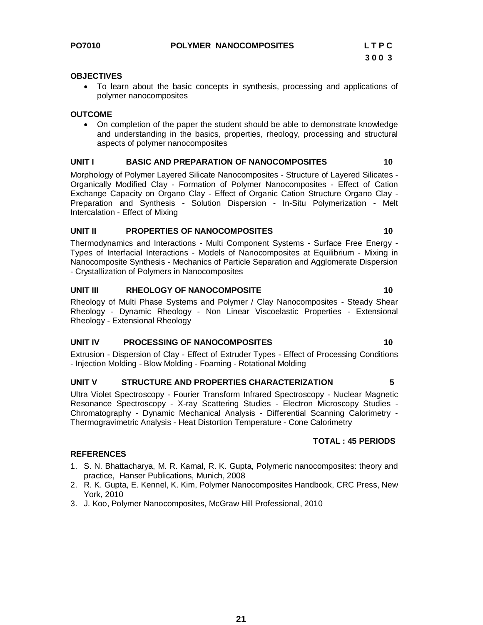To learn about the basic concepts in synthesis, processing and applications of polymer nanocomposites

#### **OUTCOME**

 On completion of the paper the student should be able to demonstrate knowledge and understanding in the basics, properties, rheology, processing and structural aspects of polymer nanocomposites

#### UNIT I BASIC AND PREPARATION OF NANOCOMPOSITES 10

Morphology of Polymer Layered Silicate Nanocomposites - Structure of Layered Silicates - Organically Modified Clay - Formation of Polymer Nanocomposites - Effect of Cation Exchange Capacity on Organo Clay - Effect of Organic Cation Structure Organo Clay - Preparation and Synthesis - Solution Dispersion - In-Situ Polymerization - Melt Intercalation - Effect of Mixing

#### **UNIT II PROPERTIES OF NANOCOMPOSITES 10**

Thermodynamics and Interactions - Multi Component Systems - Surface Free Energy - Types of Interfacial Interactions - Models of Nanocomposites at Equilibrium - Mixing in Nanocomposite Synthesis - Mechanics of Particle Separation and Agglomerate Dispersion - Crystallization of Polymers in Nanocomposites

#### **UNIT III RHEOLOGY OF NANOCOMPOSITE 10**

Rheology of Multi Phase Systems and Polymer / Clay Nanocomposites - Steady Shear Rheology - Dynamic Rheology - Non Linear Viscoelastic Properties - Extensional Rheology - Extensional Rheology

#### **UNIT IV PROCESSING OF NANOCOMPOSITES 10**

Extrusion - Dispersion of Clay - Effect of Extruder Types - Effect of Processing Conditions - Injection Molding - Blow Molding - Foaming - Rotational Molding

#### **UNIT V STRUCTURE AND PROPERTIES CHARACTERIZATION 5**

Ultra Violet Spectroscopy - Fourier Transform Infrared Spectroscopy - Nuclear Magnetic Resonance Spectroscopy - X-ray Scattering Studies - Electron Microscopy Studies - Chromatography - Dynamic Mechanical Analysis - Differential Scanning Calorimetry - Thermogravimetric Analysis - Heat Distortion Temperature - Cone Calorimetry

#### **TOTAL : 45 PERIODS**

- 1. S. N. Bhattacharya, M. R. Kamal, R. K. Gupta, Polymeric nanocomposites: theory and practice, Hanser Publications, Munich, 2008
- 2. R. K. Gupta, E. Kennel, K. Kim, Polymer Nanocomposites Handbook, CRC Press, New York, 2010
- 3. J. Koo, Polymer Nanocomposites, McGraw Hill Professional, 2010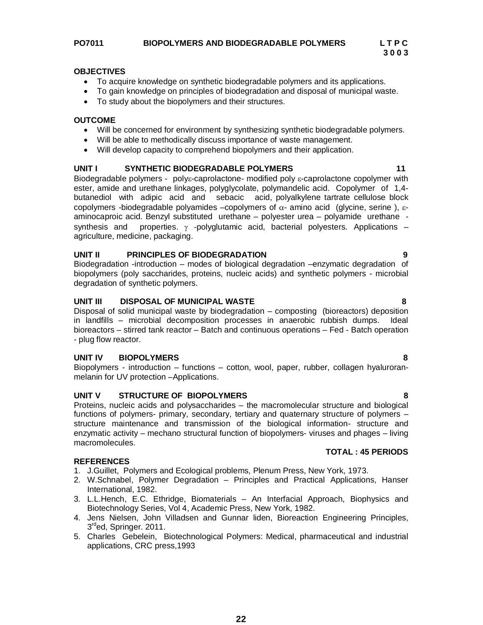- To acquire knowledge on synthetic biodegradable polymers and its applications.
- To gain knowledge on principles of biodegradation and disposal of municipal waste.
- To study about the biopolymers and their structures.

#### **OUTCOME**

- Will be concerned for environment by synthesizing synthetic biodegradable polymers.
- Will be able to methodically discuss importance of waste management.
- Will develop capacity to comprehend biopolymers and their application.

### **UNIT I SYNTHETIC BIODEGRADABLE POLYMERS 11**

Biodegradable polymers - poly $\varepsilon$ -caprolactone- modified poly  $\varepsilon$ -caprolactone copolymer with ester, amide and urethane linkages, polyglycolate, polymandelic acid. Copolymer of 1,4 butanediol with adipic acid and sebacic acid, polyalkylene tartrate cellulose block copolymers -biodegradable polyamides –copolymers of  $\alpha$ - amino acid (glycine, serine),  $\varepsilon$ aminocaproic acid. Benzyl substituted urethane – polyester urea – polyamide urethane synthesis and properties.  $\gamma$  -polyglutamic acid, bacterial polyesters. Applications – agriculture, medicine, packaging.

#### **UNIT II PRINCIPLES OF BIODEGRADATION 9**

Biodegradation -introduction – modes of biological degradation –enzymatic degradation of biopolymers (poly saccharides, proteins, nucleic acids) and synthetic polymers - microbial degradation of synthetic polymers.

#### **UNIT III DISPOSAL OF MUNICIPAL WASTE 8**

Disposal of solid municipal waste by biodegradation – composting (bioreactors) deposition in landfills – microbial decomposition processes in anaerobic rubbish dumps. Ideal bioreactors – stirred tank reactor – Batch and continuous operations – Fed - Batch operation - plug flow reactor.

#### **UNIT IV BIOPOLYMERS 8**

Biopolymers - introduction – functions – cotton, wool, paper, rubber, collagen hyaluroranmelanin for UV protection –Applications.

### **UNIT V STRUCTURE OF BIOPOLYMERS 8**

Proteins, nucleic acids and polysaccharides – the macromolecular structure and biological functions of polymers- primary, secondary, tertiary and quaternary structure of polymers – structure maintenance and transmission of the biological information- structure and enzymatic activity – mechano structural function of biopolymers- viruses and phages – living macromolecules.

#### **REFERENCES**

- 1. J.Guillet, Polymers and Ecological problems, Plenum Press, New York, 1973.
- 2. W.Schnabel, Polymer Degradation Principles and Practical Applications, Hanser International, 1982.
- 3. L.L.Hench, E.C. Ethridge, Biomaterials An Interfacial Approach, Biophysics and Biotechnology Series, Vol 4, Academic Press, New York, 1982.
- 4. Jens Nielsen, John Villadsen and Gunnar liden, Bioreaction Engineering Principles, 3<sup>rd</sup>ed, Springer. 2011.
- 5. Charles Gebelein, Biotechnological Polymers: Medical, pharmaceutical and industrial applications, CRC press,1993

 **TOTAL : 45 PERIODS**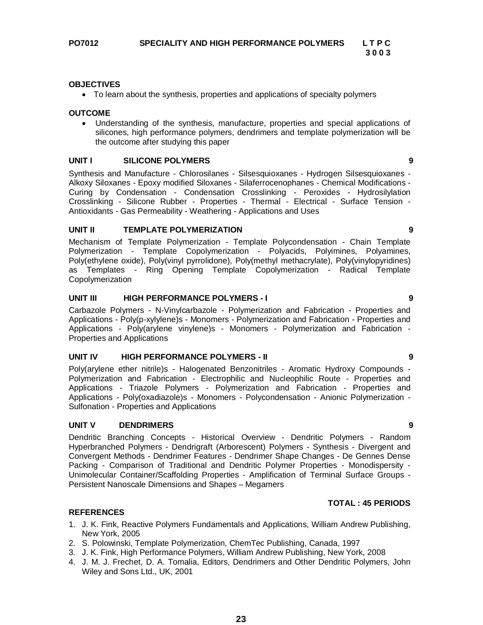To learn about the synthesis, properties and applications of specialty polymers

## **OUTCOME**

 Understanding of the synthesis, manufacture, properties and special applications of silicones, high performance polymers, dendrimers and template polymerization will be the outcome after studying this paper

## **UNIT I SILICONE POLYMERS 9**

Synthesis and Manufacture - Chlorosilanes - Silsesquioxanes - Hydrogen Silsesquioxanes - Alkoxy Siloxanes - Epoxy modified Siloxanes - Silaferrocenophanes - Chemical Modifications - Curing by Condensation - Condensation Crosslinking - Peroxides - Hydrosilylation Crosslinking - Silicone Rubber - Properties - Thermal - Electrical - Surface Tension - Antioxidants - Gas Permeability - Weathering - Applications and Uses

## **UNIT II TEMPLATE POLYMERIZATION 9**

Mechanism of Template Polymerization - Template Polycondensation - Chain Template Polymerization - Template Copolymerization - Polyacids, Polyimines, Polyamines, Poly(ethylene oxide), Poly(vinyl pyrrolidone), Poly(methyl methacrylate), Poly(vinylopyridines) as Templates - Ring Opening Template Copolymerization - Radical Template Copolymerization

## **UNIT III HIGH PERFORMANCE POLYMERS - I 9**

Carbazole Polymers - N-Vinylcarbazole - Polymerization and Fabrication - Properties and Applications - Poly(p-xylylene)s - Monomers - Polymerization and Fabrication - Properties and Applications - Poly(arylene vinylene)s - Monomers - Polymerization and Fabrication - Properties and Applications

## **UNIT IV HIGH PERFORMANCE POLYMERS - II 9**

Poly(arylene ether nitrile)s - Halogenated Benzonitriles - Aromatic Hydroxy Compounds - Polymerization and Fabrication - Electrophilic and Nucleophilic Route - Properties and Applications - Triazole Polymers - Polymerization and Fabrication - Properties and Applications - Poly(oxadiazole)s - Monomers - Polycondensation - Anionic Polymerization - Sulfonation - Properties and Applications

## **UNIT V DENDRIMERS 9**

Dendritic Branching Concepts - Historical Overview - Dendritic Polymers - Random Hyperbranched Polymers - Dendrigraft (Arborescent) Polymers - Synthesis - Divergent and Convergent Methods - Dendrimer Features - Dendrimer Shape Changes - De Gennes Dense Packing - Comparison of Traditional and Dendritic Polymer Properties - Monodispersity - Unimolecular Container/Scaffolding Properties - Amplification of Terminal Surface Groups - Persistent Nanoscale Dimensions and Shapes – Megamers

## **TOTAL : 45 PERIODS**

- 1. J. K. Fink, Reactive Polymers Fundamentals and Applications, William Andrew Publishing, New York, 2005
- 2. S. Polowinski, Template Polymerization, ChemTec Publishing, Canada, 1997
- 3. J. K. Fink, High Performance Polymers, William Andrew Publishing, New York, 2008
- 4. J. M. J. Frechet, D. A. Tomalia, Editors, Dendrimers and Other Dendritic Polymers, John Wiley and Sons Ltd., UK, 2001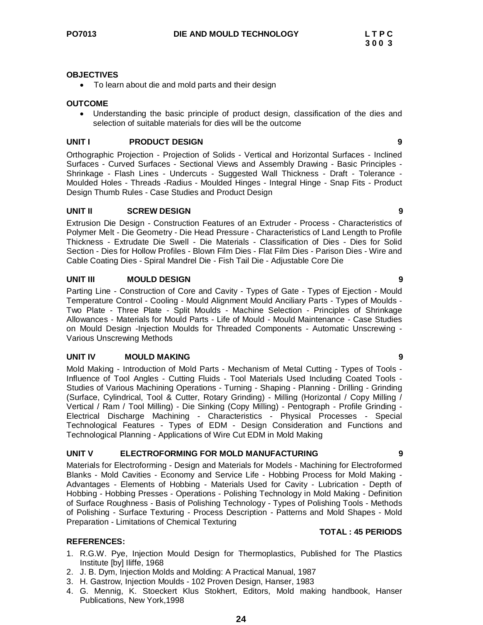• To learn about die and mold parts and their design

#### **OUTCOME**

 Understanding the basic principle of product design, classification of the dies and selection of suitable materials for dies will be the outcome

#### **UNIT I** PRODUCT DESIGN **1999**

Orthographic Projection - Projection of Solids - Vertical and Horizontal Surfaces - Inclined Surfaces - Curved Surfaces - Sectional Views and Assembly Drawing - Basic Principles - Shrinkage - Flash Lines - Undercuts - Suggested Wall Thickness - Draft - Tolerance - Moulded Holes - Threads -Radius - Moulded Hinges - Integral Hinge - Snap Fits - Product Design Thumb Rules - Case Studies and Product Design

#### **UNIT II SCREW DESIGN 9**

Extrusion Die Design - Construction Features of an Extruder - Process - Characteristics of Polymer Melt - Die Geometry - Die Head Pressure - Characteristics of Land Length to Profile Thickness - Extrudate Die Swell - Die Materials - Classification of Dies - Dies for Solid Section - Dies for Hollow Profiles - Blown Film Dies - Flat Film Dies - Parison Dies - Wire and Cable Coating Dies - Spiral Mandrel Die - Fish Tail Die - Adjustable Core Die

#### **UNIT III MOULD DESIGN 9**

Parting Line - Construction of Core and Cavity - Types of Gate - Types of Ejection - Mould Temperature Control - Cooling - Mould Alignment Mould Anciliary Parts - Types of Moulds - Two Plate - Three Plate - Split Moulds - Machine Selection - Principles of Shrinkage Allowances - Materials for Mould Parts - Life of Mould - Mould Maintenance - Case Studies on Mould Design -Injection Moulds for Threaded Components - Automatic Unscrewing - Various Unscrewing Methods

#### **UNIT IV MOULD MAKING 9**

Mold Making - Introduction of Mold Parts - Mechanism of Metal Cutting - Types of Tools - Influence of Tool Angles - Cutting Fluids - Tool Materials Used Including Coated Tools - Studies of Various Machining Operations - Turning - Shaping - Planning - Drilling - Grinding (Surface, Cylindrical, Tool & Cutter, Rotary Grinding) - Milling (Horizontal / Copy Milling / Vertical / Ram / Tool Milling) - Die Sinking (Copy Milling) - Pentograph - Profile Grinding - Electrical Discharge Machining - Characteristics - Physical Processes - Special Technological Features - Types of EDM - Design Consideration and Functions and Technological Planning - Applications of Wire Cut EDM in Mold Making

#### **UNIT V ELECTROFORMING FOR MOLD MANUFACTURING 9**

Materials for Electroforming - Design and Materials for Models - Machining for Electroformed Blanks - Mold Cavities - Economy and Service Life - Hobbing Process for Mold Making - Advantages - Elements of Hobbing - Materials Used for Cavity - Lubrication - Depth of Hobbing - Hobbing Presses - Operations - Polishing Technology in Mold Making - Definition of Surface Roughness - Basis of Polishing Technology - Types of Polishing Tools - Methods of Polishing - Surface Texturing - Process Description - Patterns and Mold Shapes - Mold Preparation - Limitations of Chemical Texturing

#### **REFERENCES:**

- 1. R.G.W. Pye, Injection Mould Design for Thermoplastics, Published for The Plastics Institute [by] Iliffe, 1968
- 2. J. B. Dym, Injection Molds and Molding: A Practical Manual, 1987
- 3. H. Gastrow, Injection Moulds 102 Proven Design, Hanser, 1983
- 4. G. Mennig, K. Stoeckert Klus Stokhert, Editors, Mold making handbook, Hanser Publications, New York,1998

**TOTAL : 45 PERIODS**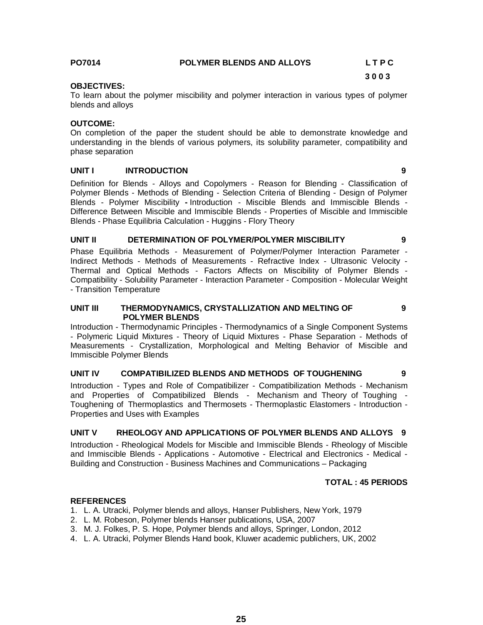# **3 0 0 3**

#### **OBJECTIVES:**

To learn about the polymer miscibility and polymer interaction in various types of polymer blends and alloys

#### **OUTCOME:**

On completion of the paper the student should be able to demonstrate knowledge and understanding in the blends of various polymers, its solubility parameter, compatibility and phase separation

#### **UNIT I INTRODUCTION 9**

Definition for Blends - Alloys and Copolymers - Reason for Blending - Classification of Polymer Blends - Methods of Blending - Selection Criteria of Blending - Design of Polymer Blends - Polymer Miscibility **-** Introduction - Miscible Blends and Immiscible Blends - Difference Between Miscible and Immiscible Blends - Properties of Miscible and Immiscible Blends - Phase Equilibria Calculation - Huggins - Flory Theory

#### **UNIT II DETERMINATION OF POLYMER/POLYMER MISCIBILITY 9**

Phase Equilibria Methods - Measurement of Polymer/Polymer Interaction Parameter - Indirect Methods - Methods of Measurements - Refractive Index - Ultrasonic Velocity - Thermal and Optical Methods - Factors Affects on Miscibility of Polymer Blends - Compatibility - Solubility Parameter - Interaction Parameter - Composition - Molecular Weight - Transition Temperature

#### **UNIT III THERMODYNAMICS, CRYSTALLIZATION AND MELTING OF POLYMER BLENDS**

Introduction - Thermodynamic Principles - Thermodynamics of a Single Component Systems - Polymeric Liquid Mixtures - Theory of Liquid Mixtures - Phase Separation - Methods of Measurements - Crystallization, Morphological and Melting Behavior of Miscible and Immiscible Polymer Blends

#### **UNIT IV COMPATIBILIZED BLENDS AND METHODS OF TOUGHENING 9**

Introduction - Types and Role of Compatibilizer - Compatibilization Methods - Mechanism and Properties of Compatibilized Blends - Mechanism and Theory of Toughing - Toughening of Thermoplastics and Thermosets - Thermoplastic Elastomers - Introduction - Properties and Uses with Examples

#### **UNIT V RHEOLOGY AND APPLICATIONS OF POLYMER BLENDS AND ALLOYS 9**

Introduction - Rheological Models for Miscible and Immiscible Blends - Rheology of Miscible and Immiscible Blends - Applications - Automotive - Electrical and Electronics - Medical - Building and Construction - Business Machines and Communications – Packaging

#### **TOTAL : 45 PERIODS**

#### **REFERENCES**

- 1. L. A. Utracki, Polymer blends and alloys, Hanser Publishers, New York, 1979
- 2. L. M. Robeson, Polymer blends Hanser publications, USA, 2007
- 3. M. J. Folkes, P. S. Hope, Polymer blends and alloys, Springer, London, 2012
- 4. L. A. Utracki, Polymer Blends Hand book, Kluwer academic publichers, UK, 2002

**9**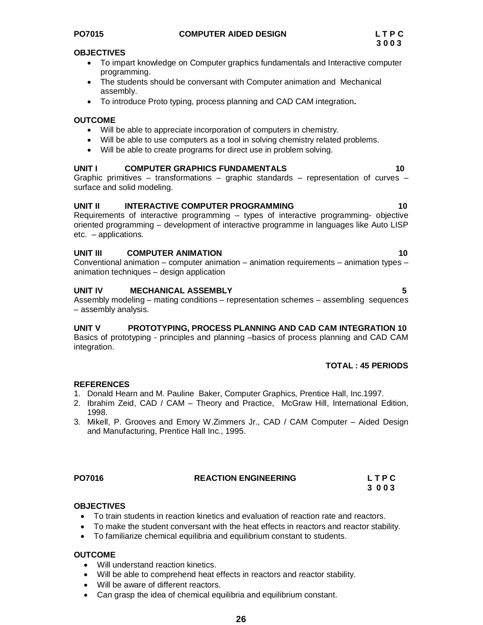- To impart knowledge on Computer graphics fundamentals and Interactive computer programming.
- The students should be conversant with Computer animation and Mechanical assembly.
- To introduce Proto typing, process planning and CAD CAM integration**.**

#### **OUTCOME**

- Will be able to appreciate incorporation of computers in chemistry.
- Will be able to use computers as a tool in solving chemistry related problems.
- Will be able to create programs for direct use in problem solving.

#### **UNIT I** COMPUTER GRAPHICS FUNDAMENTALS 10

Graphic primitives – transformations – graphic standards – representation of curves – surface and solid modeling.

#### UNIT II INTERACTIVE COMPUTER PROGRAMMING **10**

Requirements of interactive programming – types of interactive programming- objective oriented programming – development of interactive programme in languages like Auto LISP etc. – applications.

#### **UNIT III COMPUTER ANIMATION 10**

Conventional animation – computer animation – animation requirements – animation types – animation techniques – design application

#### **UNIT IV MECHANICAL ASSEMBLY 5**

Assembly modeling – mating conditions – representation schemes – assembling sequences – assembly analysis.

#### **UNIT V PROTOTYPING, PROCESS PLANNING AND CAD CAM INTEGRATION 10**

Basics of prototyping - principles and planning –basics of process planning and CAD CAM integration.

#### **TOTAL : 45 PERIODS**

#### **REFERENCES**

- 1. Donald Hearn and M. Pauline Baker, Computer Graphics, Prentice Hall, Inc.1997.
- 2. Ibrahim Zeid, CAD / CAM Theory and Practice, McGraw Hill, International Edition, 1998.
- 3. Mikell, P. Grooves and Emory W.Zimmers Jr., CAD / CAM Computer Aided Design and Manufacturing, Prentice Hall Inc., 1995.

#### **PO7016 REACTION ENGINEERING L T P C**

**3 0 0 3**

#### **OBJECTIVES**

- To train students in reaction kinetics and evaluation of reaction rate and reactors.
- To make the student conversant with the heat effects in reactors and reactor stability.
- To familiarize chemical equilibria and equilibrium constant to students.

#### **OUTCOME**

- Will understand reaction kinetics.
- Will be able to comprehend heat effects in reactors and reactor stability.
- Will be aware of different reactors.
- Can grasp the idea of chemical equilibria and equilibrium constant.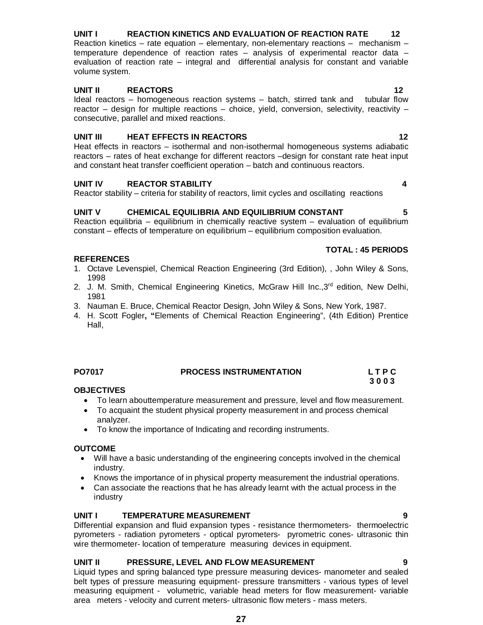#### **UNIT I REACTION KINETICS AND EVALUATION OF REACTION RATE 12** Reaction kinetics – rate equation – elementary, non-elementary reactions – mechanism – temperature dependence of reaction rates – analysis of experimental reactor data – evaluation of reaction rate – integral and differential analysis for constant and variable volume system.

### **UNIT II REACTORS 12**

Ideal reactors – homogeneous reaction systems – batch, stirred tank and tubular flow reactor – design for multiple reactions – choice, yield, conversion, selectivity, reactivity – consecutive, parallel and mixed reactions.

#### **UNIT III HEAT EFFECTS IN REACTORS 12**

Heat effects in reactors – isothermal and non-isothermal homogeneous systems adiabatic reactors – rates of heat exchange for different reactors –design for constant rate heat input and constant heat transfer coefficient operation – batch and continuous reactors.

### **UNIT IV REACTOR STABILITY 4**

Reactor stability – criteria for stability of reactors, limit cycles and oscillating reactions

### **UNIT V CHEMICAL EQUILIBRIA AND EQUILIBRIUM CONSTANT 5**

Reaction equilibria – equilibrium in chemically reactive system – evaluation of equilibrium constant – effects of temperature on equilibrium – equilibrium composition evaluation.

#### **REFERENCES**

- 1. Octave Levenspiel, Chemical Reaction Engineering (3rd Edition), , John Wiley & Sons, 1998
- 2. J. M. Smith, Chemical Engineering Kinetics, McGraw Hill Inc.,3<sup>rd</sup> edition, New Delhi, 1981
- 3. Nauman E. Bruce, Chemical Reactor Design, John Wiley & Sons, New York, 1987.
- 4. H. Scott Fogler**, "**Elements of Chemical Reaction Engineering", (4th Edition) Prentice Hall,

#### **PO7017 PROCESS INSTRUMENTATION L T P C**

## **OBJECTIVES**

- To learn abouttemperature measurement and pressure, level and flow measurement.
- To acquaint the student physical property measurement in and process chemical analyzer.
- To know the importance of Indicating and recording instruments.

#### **OUTCOME**

- Will have a basic understanding of the engineering concepts involved in the chemical industry.
- Knows the importance of in physical property measurement the industrial operations.
- Can associate the reactions that he has already learnt with the actual process in the industry

#### **UNIT I TEMPERATURE MEASUREMENT 9**

Differential expansion and fluid expansion types - resistance thermometers- thermoelectric pyrometers - radiation pyrometers - optical pyrometers- pyrometric cones- ultrasonic thin wire thermometer- location of temperature measuring devices in equipment.

### **UNIT II PRESSURE, LEVEL AND FLOW MEASUREMENT 9**

Liquid types and spring balanced type pressure measuring devices- manometer and sealed belt types of pressure measuring equipment- pressure transmitters - various types of level measuring equipment - volumetric, variable head meters for flow measurement- variable area meters - velocity and current meters- ultrasonic flow meters - mass meters.

#### **TOTAL : 45 PERIODS**

**3 0 0 3**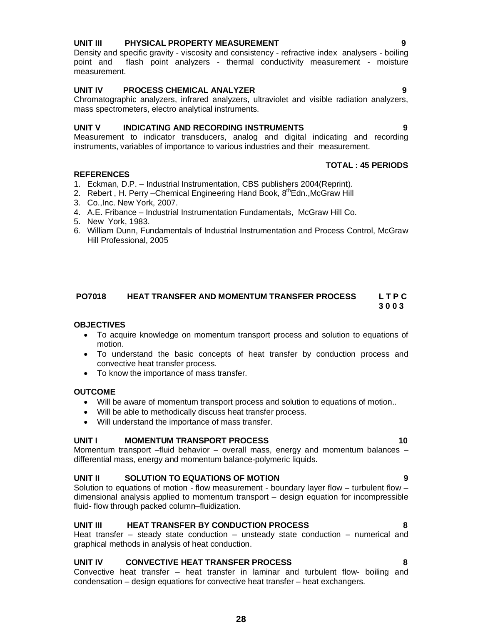### **UNIT III PHYSICAL PROPERTY MEASUREMENT 9**

Density and specific gravity - viscosity and consistency - refractive index analysers - boiling point and flash point analyzers - thermal conductivity measurement - moisture measurement.

#### **UNIT IV PROCESS CHEMICAL ANALYZER 9**

Chromatographic analyzers, infrared analyzers, ultraviolet and visible radiation analyzers, mass spectrometers, electro analytical instruments.

#### **UNIT V INDICATING AND RECORDING INSTRUMENTS 9**

Measurement to indicator transducers, analog and digital indicating and recording instruments, variables of importance to various industries and their measurement.

#### **TOTAL : 45 PERIODS**

- **REFERENCES**
- 1. Eckman, D.P. Industrial Instrumentation, CBS publishers 2004(Reprint).
- 2. Rebert, H. Perry –Chemical Engineering Hand Book, 8<sup>th</sup>Edn., McGraw Hill
- 3. Co.,Inc. New York, 2007.
- 4. A.E. Fribance Industrial Instrumentation Fundamentals, McGraw Hill Co.
- 5. New York, 1983.
- 6. William Dunn, Fundamentals of Industrial Instrumentation and Process Control, McGraw Hill Professional, 2005

### **PO7018 HEAT TRANSFER AND MOMENTUM TRANSFER PROCESS L T P C 3 0 0 3**

#### **OBJECTIVES**

- To acquire knowledge on momentum transport process and solution to equations of motion.
- To understand the basic concepts of heat transfer by conduction process and convective heat transfer process.
- To know the importance of mass transfer.

#### **OUTCOME**

- Will be aware of momentum transport process and solution to equations of motion..
- Will be able to methodically discuss heat transfer process.
- Will understand the importance of mass transfer.

#### **UNIT I MOMENTUM TRANSPORT PROCESS 40** 10

Momentum transport –fluid behavior – overall mass, energy and momentum balances – differential mass, energy and momentum balance-polymeric liquids.

#### **UNIT II SOLUTION TO EQUATIONS OF MOTION 9**

Solution to equations of motion - flow measurement - boundary layer flow – turbulent flow – dimensional analysis applied to momentum transport – design equation for incompressible fluid- flow through packed column–fluidization.

#### **UNIT III HEAT TRANSFER BY CONDUCTION PROCESS 8**

Heat transfer – steady state conduction – unsteady state conduction – numerical and graphical methods in analysis of heat conduction.

#### **UNIT IV CONVECTIVE HEAT TRANSFER PROCESS 8**

Convective heat transfer – heat transfer in laminar and turbulent flow- boiling and condensation – design equations for convective heat transfer – heat exchangers.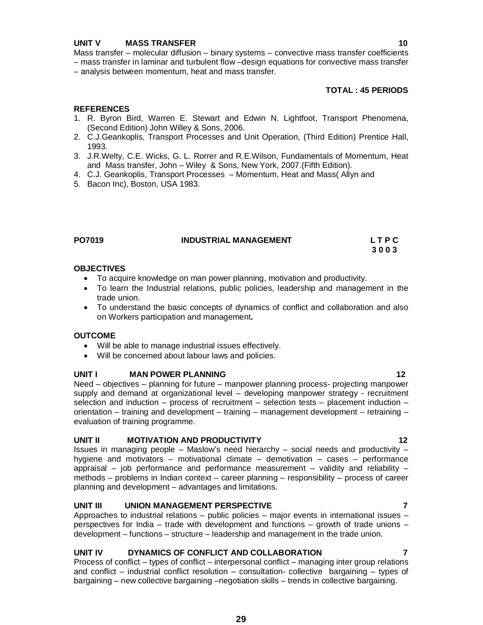### **UNIT V MASS TRANSFER 10** 10

Mass transfer – molecular diffusion – binary systems – convective mass transfer coefficients – mass transfer in laminar and turbulent flow –design equations for convective mass transfer – analysis between momentum, heat and mass transfer.

#### **TOTAL : 45 PERIODS**

 **3 0 0 3**

### **REFERENCES**

- 1. R. Byron Bird, Warren E. Stewart and Edwin N. Lightfoot, Transport Phenomena, (Second Edition) John Willey & Sons, 2006.
- 2. C.J.Geankoplis, Transport Processes and Unit Operation, (Third Edition) Prentice Hall, 1993.
- 3. J.R.Welty, C.E. Wicks, G. L. Rorrer and R.E.Wilson, Fundamentals of Momentum, Heat and Mass transfer, John – Wiley & Sons, New York, 2007.(Fifth Edition).
- 4. C.J. Geankoplis, Transport Processes Momentum, Heat and Mass( Allyn and
- 5. Bacon Inc), Boston, USA 1983.

**PO7019 INDUSTRIAL MANAGEMENT L T P C** 

#### **OBJECTIVES**

- To acquire knowledge on man power planning, motivation and productivity.
- To learn the Industrial relations, public policies, leadership and management in the trade union.
- To understand the basic concepts of dynamics of conflict and collaboration and also on Workers participation and management**.**

#### **OUTCOME**

- Will be able to manage industrial issues effectively.
- Will be concerned about labour laws and policies.

#### **UNIT I MAN POWER PLANNING 12**

Need – objectives – planning for future – manpower planning process- projecting manpower supply and demand at organizational level – developing manpower strategy - recruitment selection and induction – process of recruitment – selection tests – placement induction – orientation – training and development – training – management development – retraining – evaluation of training programme.

#### **UNIT II MOTIVATION AND PRODUCTIVITY 12**

Issues in managing people – Maslow's need hierarchy – social needs and productivity – hygiene and motivators – motivational climate – demotivation – cases – performance appraisal – job performance and performance measurement – validity and reliability – methods – problems in Indian context – career planning – responsibility – process of career planning and development – advantages and limitations.

#### **UNIT III UNION MANAGEMENT PERSPECTIVE 7**

Approaches to industrial relations – public policies – major events in international issues – perspectives for India – trade with development and functions – growth of trade unions – development – functions – structure – leadership and management in the trade union.

### **UNIT IV DYNAMICS OF CONFLICT AND COLLABORATION 7**

Process of conflict – types of conflict – interpersonal conflict – managing inter group relations and conflict – industrial conflict resolution – consultation-collective bargaining – types of bargaining – new collective bargaining –negotiation skills – trends in collective bargaining.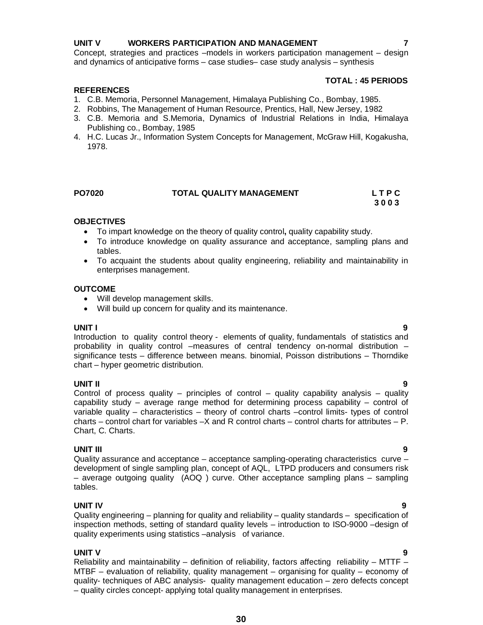#### **UNIT V WORKERS PARTICIPATION AND MANAGEMENT 7**

Concept, strategies and practices –models in workers participation management – design and dynamics of anticipative forms – case studies– case study analysis – synthesis

#### **TOTAL : 45 PERIODS**

#### **REFERENCES**

- 1. C.B. Memoria, Personnel Management, Himalaya Publishing Co., Bombay, 1985.
- 2. Robbins, The Management of Human Resource, Prentics, Hall, New Jersey, 1982
- 3. C.B. Memoria and S.Memoria, Dynamics of Industrial Relations in India, Himalaya Publishing co., Bombay, 1985
- 4. H.C. Lucas Jr., Information System Concepts for Management, McGraw Hill, Kogakusha, 1978.

| PO7020 | <b>TOTAL QUALITY MANAGEMENT</b> | LTPC |
|--------|---------------------------------|------|
|        |                                 | 3003 |

#### **OBJECTIVES**

- To impart knowledge on the theory of quality control**,** quality capability study.
- To introduce knowledge on quality assurance and acceptance, sampling plans and tables.
- To acquaint the students about quality engineering, reliability and maintainability in enterprises management.

#### **OUTCOME**

- Will develop management skills.
- Will build up concern for quality and its maintenance.

**UNIT I 9** Introduction to quality control theory - elements of quality, fundamentals of statistics and probability in quality control –measures of central tendency on-normal distribution – significance tests – difference between means. binomial, Poisson distributions – Thorndike chart – hyper geometric distribution.

**UNIT II 9** Control of process quality – principles of control – quality capability analysis – quality capability study – average range method for determining process capability – control of variable quality – characteristics – theory of control charts –control limits- types of control charts – control chart for variables  $-X$  and R control charts – control charts for attributes – P. Chart, C. Charts.

#### **UNIT III 9**

Quality assurance and acceptance – acceptance sampling-operating characteristics curve – development of single sampling plan, concept of AQL, LTPD producers and consumers risk – average outgoing quality (AOQ ) curve. Other acceptance sampling plans – sampling tables.

#### **UNIT IV 9**

Quality engineering – planning for quality and reliability – quality standards – specification of inspection methods, setting of standard quality levels – introduction to ISO-9000 –design of quality experiments using statistics –analysis of variance.

**UNIT V 9** Reliability and maintainability – definition of reliability, factors affecting reliability – MTTF – MTBF – evaluation of reliability, quality management – organising for quality – economy of quality- techniques of ABC analysis- quality management education – zero defects concept – quality circles concept- applying total quality management in enterprises.

**30**